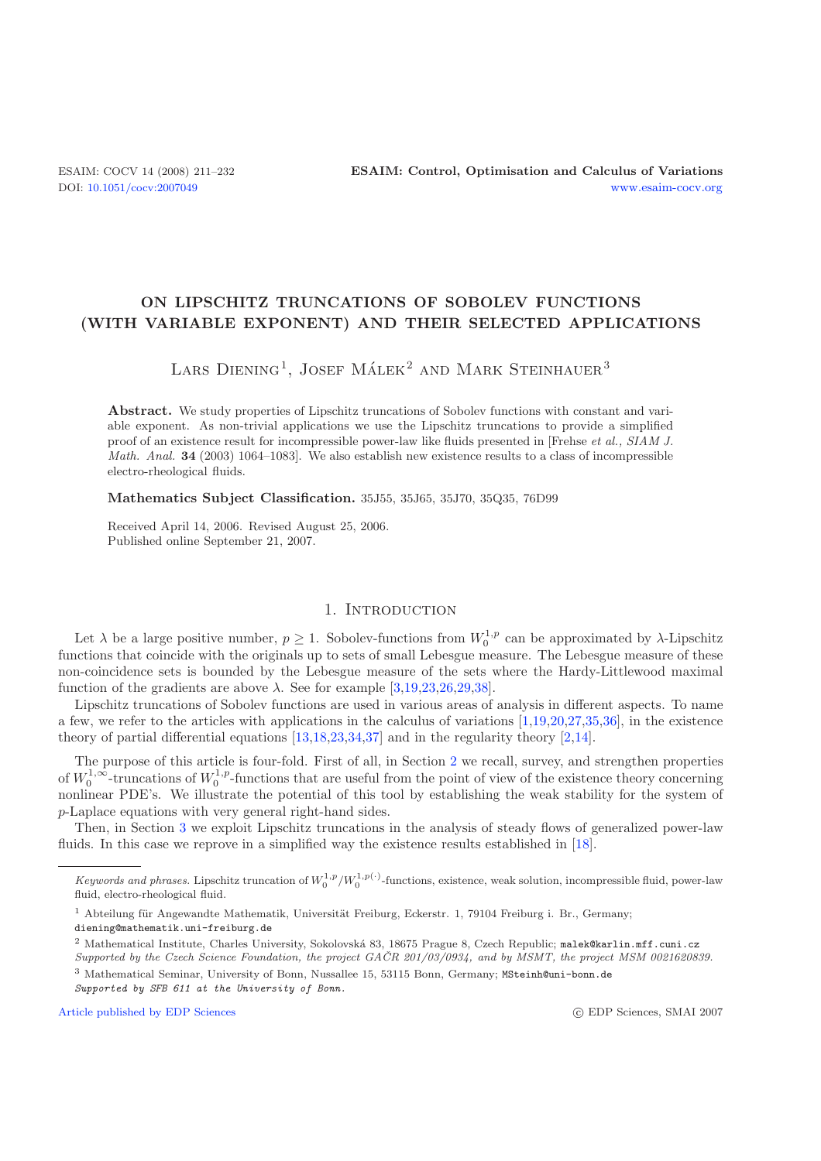## **ON LIPSCHITZ TRUNCATIONS OF SOBOLEV FUNCTIONS (WITH VARIABLE EXPONENT) AND THEIR SELECTED APPLICATIONS**

# LARS DIENING<sup>1</sup>, JOSEF MÁLEK<sup>2</sup> AND MARK STEINHAUER<sup>3</sup>

**Abstract.** We study properties of Lipschitz truncations of Sobolev functions with constant and variable exponent. As non-trivial applications we use the Lipschitz truncations to provide a simplified proof of an existence result for incompressible power-law like fluids presented in [Frehse *et al., SIAM J. Math. Anal.* **34** (2003) 1064–1083]. We also establish new existence results to a class of incompressible electro-rheological fluids.

**Mathematics Subject Classification.** 35J55, 35J65, 35J70, 35Q35, 76D99

Received April 14, 2006. Revised August 25, 2006. Published online September 21, 2007.

### 1. INTRODUCTION

Let  $\lambda$  be a large positive number,  $p \geq 1$ . Sobolev-functions from  $W_0^{1,p}$  can be approximated by  $\lambda$ -Lipschitz functions that coincide with the originals up to sets of small Lebesgue measure. The Lebesgue measure of these non-coincidence sets is bounded by the Lebesgue measure of the sets where the Hardy-Littlewood maximal function of the gradients are above  $\lambda$ . See for example [\[3](#page-20-0)[,19](#page-21-0)[,23](#page-21-1)[,26](#page-21-2)[,29](#page-21-3)[,38\]](#page-21-4).

Lipschitz truncations of Sobolev functions are used in various areas of analysis in different aspects. To name a few, we refer to the articles with applications in the calculus of variations [\[1](#page-20-1)[,19](#page-21-0)[,20](#page-21-5)[,27](#page-21-6)[,35](#page-21-7)[,36\]](#page-21-8), in the existence theory of partial differential equations [\[13](#page-21-9)[,18](#page-21-10)[,23](#page-21-1)[,34](#page-21-11)[,37](#page-21-12)] and in the regularity theory [\[2](#page-20-2)[,14\]](#page-21-13).

The purpose of this article is four-fold. First of all, in Section [2](#page-2-0) we recall, survey, and strengthen properties of  $W_0^{1,\infty}$ -truncations of  $W_0^{1,p}$ -functions that are useful from the point of view of the existence theory concerning nonlinear PDE's. We illustrate the potential of this tool by establishing the weak stability for the system of p-Laplace equations with very general right-hand sides.

Then, in Section [3](#page-9-0) we exploit Lipschitz truncations in the analysis of steady flows of generalized power-law fluids. In this case we reprove in a simplified way the existence results established in [\[18](#page-21-10)].

*Supported by SFB 611 at the University of Bonn.*

[Article published by EDP Sciences](http://www.edpsciences.org) c EDP Sciences c EDP Sciences, SMAI 2007

Keywords and phrases. Lipschitz truncation of  $W_0^{1,p}/W_0^{1,p(\cdot)}$ -functions, existence, weak solution, incompressible fluid, power-law fluid, electro-rheological fluid.

<sup>&</sup>lt;sup>1</sup> Abteilung für Angewandte Mathematik, Universität Freiburg, Eckerstr. 1, 79104 Freiburg i. Br., Germany; diening@mathematik.uni-freiburg.de

<sup>&</sup>lt;sup>2</sup> Mathematical Institute, Charles University, Sokolovská 83, 18675 Prague 8, Czech Republic; malek@karlin.mff.cuni.cz Supported by the Czech Science Foundation, the project  $G\check{A}CR$  201/03/0934, and by MSMT, the project MSM 0021620839.

<sup>3</sup> Mathematical Seminar, University of Bonn, Nussallee 15, 53115 Bonn, Germany; MSteinh@uni-bonn.de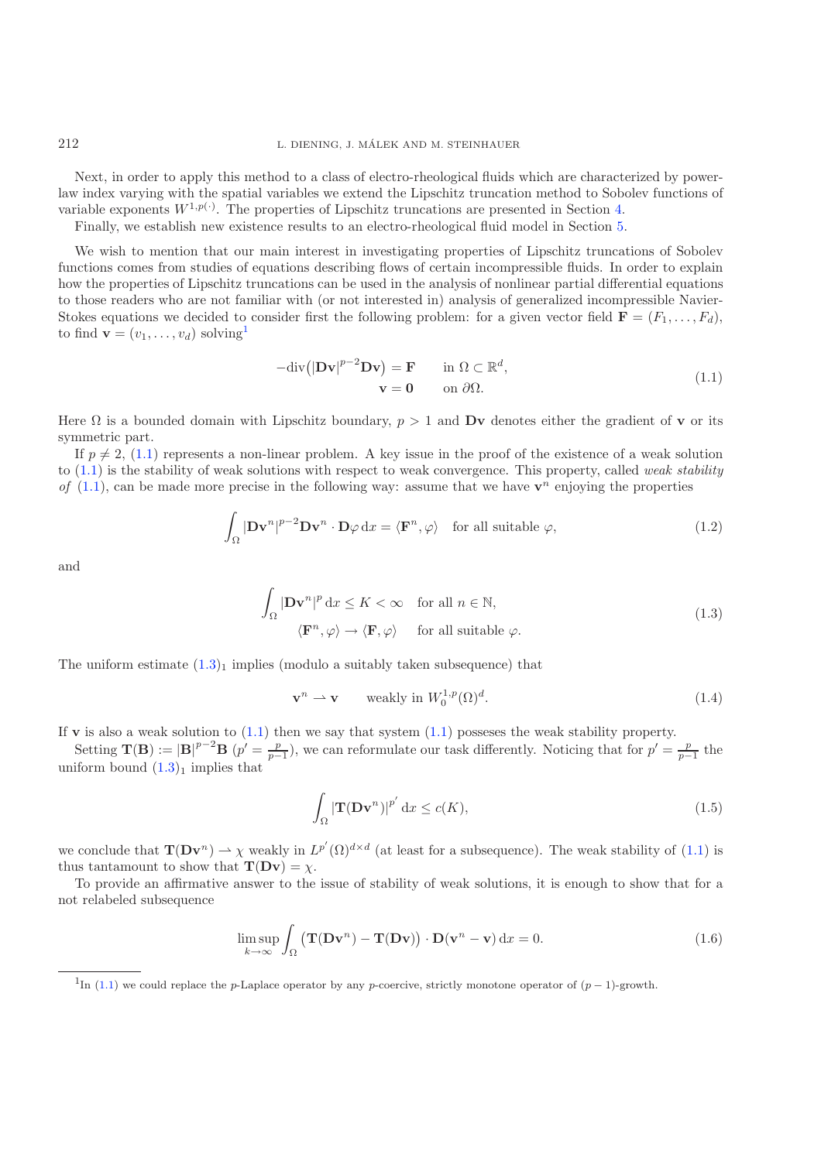Next, in order to apply this method to a class of electro-rheological fluids which are characterized by powerlaw index varying with the spatial variables we extend the Lipschitz truncation method to Sobolev functions of variable exponents  $W^{1,p(\cdot)}$ . The properties of Lipschitz truncations are presented in Section [4.](#page-14-0)

Finally, we establish new existence results to an electro-rheological fluid model in Section [5.](#page-18-0)

We wish to mention that our main interest in investigating properties of Lipschitz truncations of Sobolev functions comes from studies of equations describing flows of certain incompressible fluids. In order to explain how the properties of Lipschitz truncations can be used in the analysis of nonlinear partial differential equations to those readers who are not familiar with (or not interested in) analysis of generalized incompressible Navier-Stokes equations we decided to consider first the following problem: for a given vector field  $\mathbf{F} = (F_1, \ldots, F_d)$ , to find  $\mathbf{v} = (v_1, \ldots, v_d)$  $\mathbf{v} = (v_1, \ldots, v_d)$  $\mathbf{v} = (v_1, \ldots, v_d)$  solving<sup>1</sup>

<span id="page-1-5"></span><span id="page-1-4"></span><span id="page-1-2"></span><span id="page-1-1"></span>
$$
-div(|\mathbf{D} \mathbf{v}|^{p-2} \mathbf{D} \mathbf{v}) = \mathbf{F} \quad \text{in } \Omega \subset \mathbb{R}^d,
$$
  

$$
\mathbf{v} = \mathbf{0} \quad \text{on } \partial \Omega.
$$
 (1.1)

Here  $\Omega$  is a bounded domain with Lipschitz boundary,  $p > 1$  and Dv denotes either the gradient of v or its symmetric part.

If  $p \neq 2$ , [\(1.1\)](#page-1-1) represents a non-linear problem. A key issue in the proof of the existence of a weak solution to [\(1.1\)](#page-1-1) is the stability of weak solutions with respect to weak convergence. This property, called *weak stability of* [\(1.1\)](#page-1-1), can be made more precise in the following way: assume that we have  $\mathbf{v}^n$  enjoying the properties

$$
\int_{\Omega} |\mathbf{D} \mathbf{v}^n|^{p-2} \mathbf{D} \mathbf{v}^n \cdot \mathbf{D} \varphi \, dx = \langle \mathbf{F}^n, \varphi \rangle \quad \text{for all suitable } \varphi,
$$
\n(1.2)

and

$$
\int_{\Omega} |\mathbf{D} \mathbf{v}^{n}|^{p} dx \le K < \infty \quad \text{for all } n \in \mathbb{N},
$$
\n
$$
\langle \mathbf{F}^{n}, \varphi \rangle \to \langle \mathbf{F}, \varphi \rangle \quad \text{for all suitable } \varphi.
$$
\n(1.3)

The uniform estimate  $(1.3)_1$  $(1.3)_1$  implies (modulo a suitably taken subsequence) that

<span id="page-1-6"></span>
$$
\mathbf{v}^n \rightharpoonup \mathbf{v} \qquad \text{weakly in } W_0^{1,p}(\Omega)^d. \tag{1.4}
$$

If **v** is also a weak solution to  $(1.1)$  then we say that system  $(1.1)$  possesses the weak stability property.

<span id="page-1-0"></span>Setting  $\mathbf{T}(\mathbf{B}) := |\mathbf{B}|^{p-2} \mathbf{B}$  ( $p' = \frac{p}{p-1}$ ), we can reformulate our task differently. Noticing that for  $p' = \frac{p}{p-1}$  the uniform bound  $(1.3)<sub>1</sub>$  $(1.3)<sub>1</sub>$  implies that

<span id="page-1-3"></span>
$$
\int_{\Omega} |\mathbf{T}(\mathbf{D}\mathbf{v}^n)|^{p'} \, \mathrm{d}x \le c(K),\tag{1.5}
$$

we conclude that  $\mathbf{T}(\mathbf{D} \mathbf{v}^n) \to \chi$  weakly in  $L^{p'}(\Omega)^{d \times d}$  (at least for a subsequence). The weak stability of [\(1.1\)](#page-1-1) is thus tantamount to show that  $\mathbf{T}(\mathbf{D}\mathbf{v}) = \chi$ .

To provide an affirmative answer to the issue of stability of weak solutions, it is enough to show that for a not relabeled subsequence

$$
\limsup_{k \to \infty} \int_{\Omega} (\mathbf{T}(\mathbf{D}\mathbf{v}^n) - \mathbf{T}(\mathbf{D}\mathbf{v})) \cdot \mathbf{D}(\mathbf{v}^n - \mathbf{v}) \, \mathrm{d}x = 0. \tag{1.6}
$$

<sup>&</sup>lt;sup>1</sup>In [\(1.1\)](#page-1-1) we could replace the p-Laplace operator by any p-coercive, strictly monotone operator of  $(p-1)$ -growth.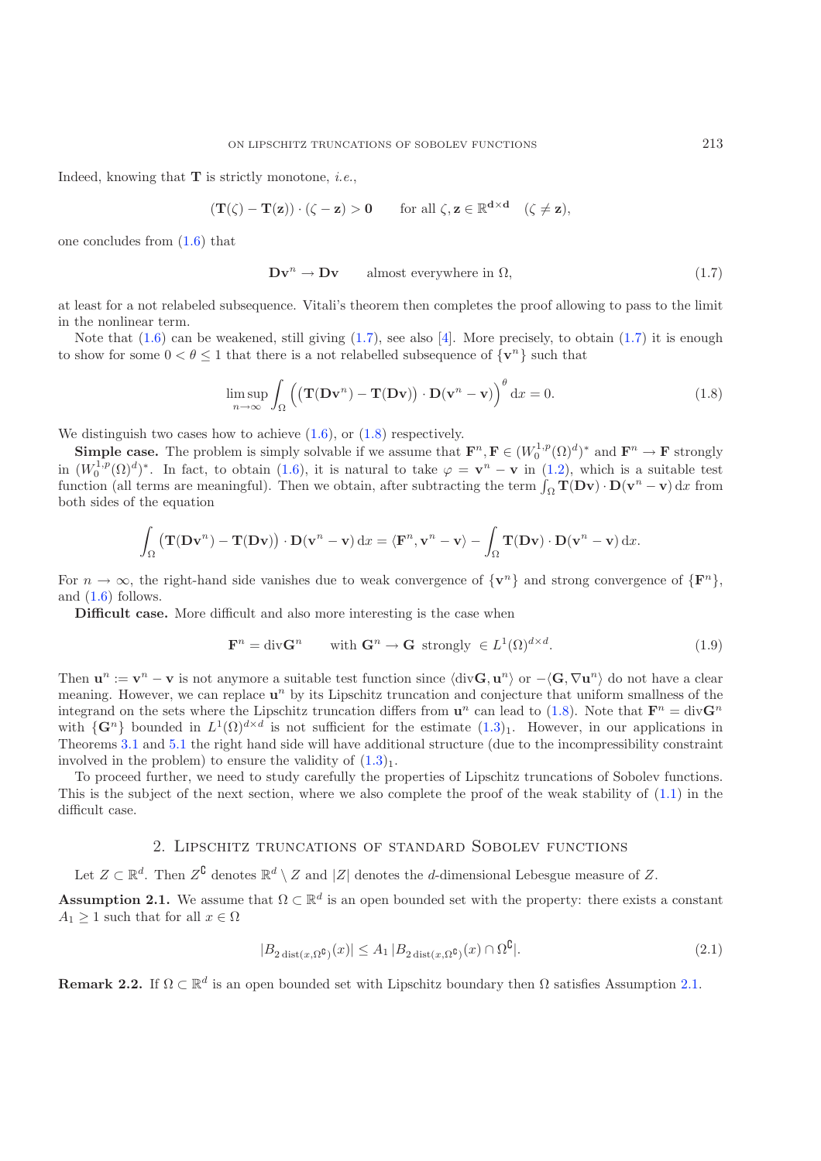Indeed, knowing that **T** is strictly monotone, *i.e.*,

$$
(\mathbf{T}(\zeta) - \mathbf{T}(\mathbf{z})) \cdot (\zeta - \mathbf{z}) > 0 \quad \text{for all } \zeta, \mathbf{z} \in \mathbb{R}^{d \times d} \quad (\zeta \neq \mathbf{z}),
$$

one concludes from [\(1.6\)](#page-1-3) that

$$
\mathbf{D}\mathbf{v}^n \to \mathbf{D}\mathbf{v} \qquad \text{almost everywhere in } \Omega,\tag{1.7}
$$

at least for a not relabeled subsequence. Vitali's theorem then completes the proof allowing to pass to the limit in the nonlinear term.

Note that [\(1.6\)](#page-1-3) can be weakened, still giving [\(1.7\)](#page-2-1), see also [\[4](#page-20-3)]. More precisely, to obtain [\(1.7\)](#page-2-1) it is enough to show for some  $0 < \theta \leq 1$  that there is a not relabelled subsequence of  $\{v^n\}$  such that

$$
\limsup_{n \to \infty} \int_{\Omega} \left( \left( \mathbf{T}(\mathbf{D} \mathbf{v}^n) - \mathbf{T}(\mathbf{D} \mathbf{v}) \right) \cdot \mathbf{D}(\mathbf{v}^n - \mathbf{v}) \right)^{\theta} dx = 0.
$$
 (1.8)

We distinguish two cases how to achieve  $(1.6)$ , or  $(1.8)$  respectively.

**Simple case.** The problem is simply solvable if we assume that  $\mathbf{F}^n$ ,  $\mathbf{F} \in (W_0^{1,p}(\Omega)^d)^*$  and  $\mathbf{F}^n \to \mathbf{F}$  strongly in  $(W_0^{1,p}(\Omega)^d)^*$ . In fact, to obtain [\(1.6\)](#page-1-3), it is natural to take  $\varphi = \mathbf{v}^n - \mathbf{v}$  in [\(1.2\)](#page-1-4), which is a suitable test function (all terms are meaningful). Then we obtain, after subtracting the term  $\int_{\Omega} \mathbf{T}(\mathbf{D} \mathbf{v}) \cdot \mathbf{D}(\mathbf{v}^n - \mathbf{v}) dx$  from both sides of the equation

$$
\int_{\Omega} (\mathbf{T}(\mathbf{D}\mathbf{v}^n) - \mathbf{T}(\mathbf{D}\mathbf{v})) \cdot \mathbf{D}(\mathbf{v}^n - \mathbf{v}) \, dx = \langle \mathbf{F}^n, \mathbf{v}^n - \mathbf{v} \rangle - \int_{\Omega} \mathbf{T}(\mathbf{D}\mathbf{v}) \cdot \mathbf{D}(\mathbf{v}^n - \mathbf{v}) \, dx.
$$

For  $n \to \infty$ , the right-hand side vanishes due to weak convergence of  $\{v^n\}$  and strong convergence of  $\{F^n\}$ , and  $(1.6)$  follows.

**Difficult case.** More difficult and also more interesting is the case when

$$
\mathbf{F}^n = \text{div}\mathbf{G}^n \qquad \text{with } \mathbf{G}^n \to \mathbf{G} \text{ strongly } \in L^1(\Omega)^{d \times d}.
$$
 (1.9)

Then  $\mathbf{u}^n := \mathbf{v}^n - \mathbf{v}$  is not anymore a suitable test function since  $\langle \text{div}\mathbf{G}, \mathbf{u}^n \rangle$  or  $-\langle \mathbf{G}, \nabla \mathbf{u}^n \rangle$  do not have a clear meaning. However, we can replace  $\mathbf{u}^n$  by its Lipschitz truncation and conjecture that uniform smallness of the integrand on the sets where the Lipschitz truncation differs from  $\mathbf{u}^n$  can lead to [\(1.8\)](#page-2-2). Note that  $\mathbf{F}^n = \text{div} \mathbf{G}^n$ with  $\{G^n\}$  bounded in  $L^1(\Omega)^{d \times d}$  is not sufficient for the estimate  $(1.3)_1$  $(1.3)_1$ . However, in our applications in Theorems [3.1](#page-10-0) and [5.1](#page-18-1) the right hand side will have additional structure (due to the incompressibility constraint involved in the problem) to ensure the validity of  $(1.3)<sub>1</sub>$  $(1.3)<sub>1</sub>$ .

<span id="page-2-0"></span>To proceed further, we need to study carefully the properties of Lipschitz truncations of Sobolev functions. This is the subject of the next section, where we also complete the proof of the weak stability of [\(1.1\)](#page-1-1) in the difficult case.

### 2. Lipschitz truncations of standard Sobolev functions

Let  $Z \subset \mathbb{R}^d$ . Then  $Z^{\complement}$  denotes  $\mathbb{R}^d \setminus Z$  and  $|Z|$  denotes the *d*-dimensional Lebesgue measure of Z.

<span id="page-2-3"></span>**Assumption 2.1.** We assume that  $\Omega \subset \mathbb{R}^d$  is an open bounded set with the property: there exists a constant  $A_1 \geq 1$  such that for all  $x \in \Omega$ 

$$
|B_{2\text{ dist}(x,\Omega^{\complement})}(x)| \le A_1 |B_{2\text{ dist}(x,\Omega^{\complement})}(x) \cap \Omega^{\complement}|.
$$
\n(2.1)

**Remark 2.2.** If  $\Omega \subset \mathbb{R}^d$  is an open bounded set with Lipschitz boundary then  $\Omega$  satisfies Assumption [2.1.](#page-2-3)

<span id="page-2-4"></span><span id="page-2-2"></span><span id="page-2-1"></span>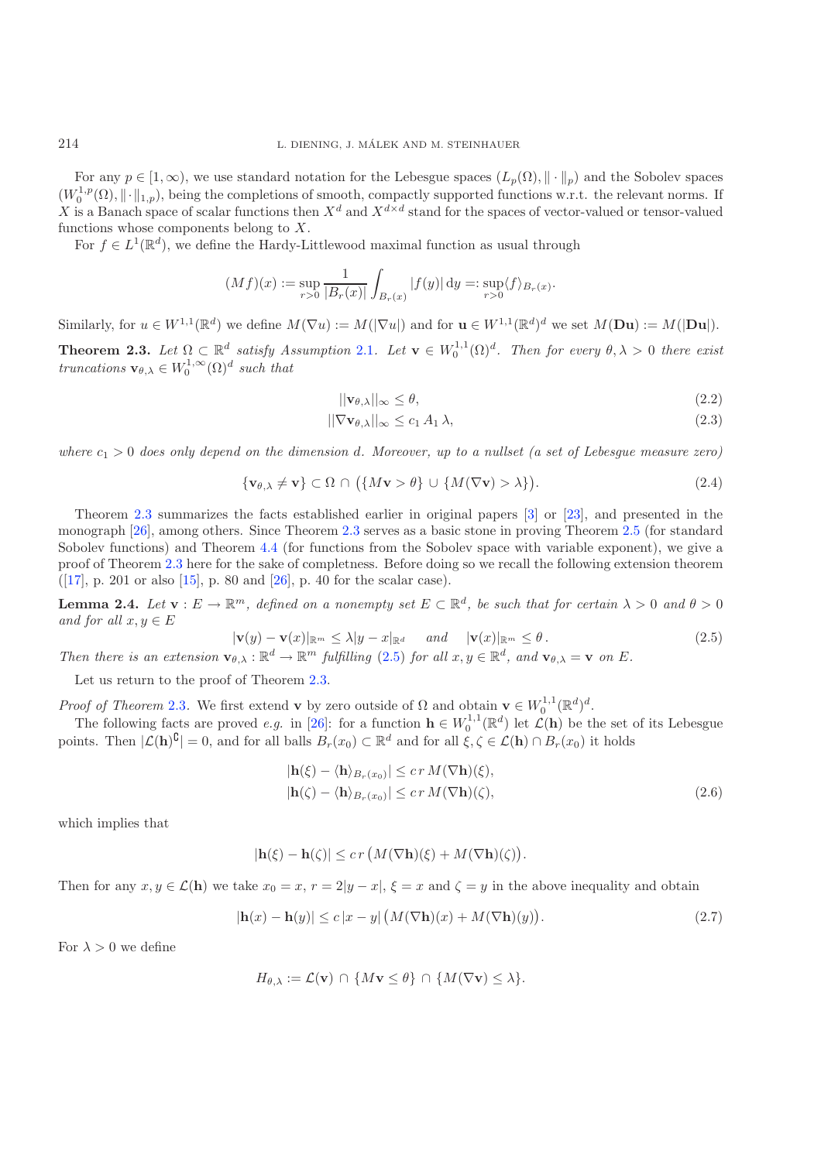For any  $p \in [1,\infty)$ , we use standard notation for the Lebesgue spaces  $(L_p(\Omega), \|\cdot\|_p)$  and the Sobolev spaces  $(W_0^{1,p}(\Omega), \|\cdot\|_{1,p})$ , being the completions of smooth, compactly supported functions w.r.t. the relevant norms. If X is a Banach space of scalar functions then  $X^d$  and  $X^{d\times d}$  stand for the spaces of vector-valued or tensor-valued functions whose components belong to X.

For  $f \in L^1(\mathbb{R}^d)$ , we define the Hardy-Littlewood maximal function as usual through

$$
(Mf)(x) := \sup_{r>0} \frac{1}{|B_r(x)|} \int_{B_r(x)} |f(y)| \, dy =: \sup_{r>0} \langle f \rangle_{B_r(x)}.
$$

<span id="page-3-0"></span>Similarly, for  $u \in W^{1,1}(\mathbb{R}^d)$  we define  $M(\nabla u) := M(|\nabla u|)$  and for  $u \in W^{1,1}(\mathbb{R}^d)^d$  we set  $M(\mathbf{Du}) := M(|\mathbf{Du}|)$ .

**Theorem 2.3.** Let  $\Omega \subset \mathbb{R}^d$  satisfy Assumption [2.1](#page-2-3). Let  $\mathbf{v} \in W_0^{1,1}(\Omega)^d$ . Then for every  $\theta, \lambda > 0$  there exist *truncations*  $\mathbf{v}_{\theta,\lambda} \in W_0^{1,\infty}(\Omega)^d$  *such that* 

<span id="page-3-7"></span><span id="page-3-6"></span><span id="page-3-5"></span>
$$
||\mathbf{v}_{\theta,\lambda}||_{\infty} \leq \theta,\tag{2.2}
$$

$$
||\nabla \mathbf{v}_{\theta,\lambda}||_{\infty} \le c_1 A_1 \lambda,\tag{2.3}
$$

<span id="page-3-1"></span>*where*  $c_1 > 0$  *does only depend on the dimension d. Moreover, up to a nullset (a set of Lebesque measure zero)* 

$$
\{\mathbf v_{\theta,\lambda} \neq \mathbf v\} \subset \Omega \, \cap \, \big(\{M\mathbf v > \theta\} \, \cup \, \{M(\nabla \mathbf v) > \lambda\}\big). \tag{2.4}
$$

Theorem [2.3](#page-3-0) summarizes the facts established earlier in original papers [\[3](#page-20-0)] or [\[23\]](#page-21-1), and presented in the monograph [\[26\]](#page-21-2), among others. Since Theorem [2.3](#page-3-0) serves as a basic stone in proving Theorem [2.5](#page-5-0) (for standard Sobolev functions) and Theorem [4.4](#page-15-0) (for functions from the Sobolev space with variable exponent), we give a proof of Theorem [2.3](#page-3-0) here for the sake of completness. Before doing so we recall the following extension theorem ([\[17\]](#page-21-14), p. 201 or also [\[15](#page-21-15)], p. 80 and [\[26](#page-21-2)], p. 40 for the scalar case).

<span id="page-3-4"></span><span id="page-3-3"></span>**Lemma 2.4.** *Let*  $\mathbf{v}: E \to \mathbb{R}^m$ , *defined on a nonempty set*  $E \subset \mathbb{R}^d$ , *be such that for certain*  $\lambda > 0$  *and*  $\theta > 0$ *and for all*  $x, y \in E$ 

$$
|\mathbf{v}(y) - \mathbf{v}(x)|_{\mathbb{R}^m} \le \lambda |y - x|_{\mathbb{R}^d} \quad and \quad |\mathbf{v}(x)|_{\mathbb{R}^m} \le \theta.
$$
\n(2.5)

*Then there is an extension*  $\mathbf{v}_{\theta\lambda} : \mathbb{R}^d \to \mathbb{R}^m$  *fulfilling* [\(2.5\)](#page-3-1) *for all*  $x, y \in \mathbb{R}^d$ , and  $\mathbf{v}_{\theta\lambda} = \mathbf{v}$  on E.

Let us return to the proof of Theorem [2.3.](#page-3-0)

*Proof of Theorem* [2.3](#page-3-0). We first extend **v** by zero outside of  $\Omega$  and obtain  $\mathbf{v} \in W_0^{1,1}(\mathbb{R}^d)^d$ .

The following facts are proved *e.g.* in [\[26](#page-21-2)]: for a function  $\mathbf{h} \in W_0^{1,1}(\mathbb{R}^d)$  let  $\mathcal{L}(\mathbf{h})$  be the set of its Lebesgue points. Then  $|\mathcal{L}(\mathbf{h})^{\complement}| = 0$ , and for all balls  $B_r(x_0) \subset \mathbb{R}^d$  and for all  $\xi, \zeta \in \mathcal{L}(\mathbf{h}) \cap B_r(x_0)$  it holds

<span id="page-3-2"></span>
$$
|\mathbf{h}(\xi) - \langle \mathbf{h} \rangle_{B_r(x_0)}| \leq c r M(\nabla \mathbf{h})(\xi),
$$
  
\n
$$
|\mathbf{h}(\zeta) - \langle \mathbf{h} \rangle_{B_r(x_0)}| \leq c r M(\nabla \mathbf{h})(\zeta),
$$
\n(2.6)

which implies that

 $|\mathbf{h}(\xi) - \mathbf{h}(\zeta)| \leq c r \left( M(\nabla \mathbf{h})(\xi) + M(\nabla \mathbf{h})(\zeta) \right).$ 

Then for any  $x, y \in \mathcal{L}(\mathbf{h})$  we take  $x_0 = x, r = 2|y - x|, \xi = x$  and  $\zeta = y$  in the above inequality and obtain

$$
|\mathbf{h}(x) - \mathbf{h}(y)| \le c |x - y| \left( M(\nabla \mathbf{h})(x) + M(\nabla \mathbf{h})(y) \right). \tag{2.7}
$$

For  $\lambda > 0$  we define

$$
H_{\theta,\lambda} := \mathcal{L}(\mathbf{v}) \cap \{M\mathbf{v} \le \theta\} \cap \{M(\nabla \mathbf{v}) \le \lambda\}.
$$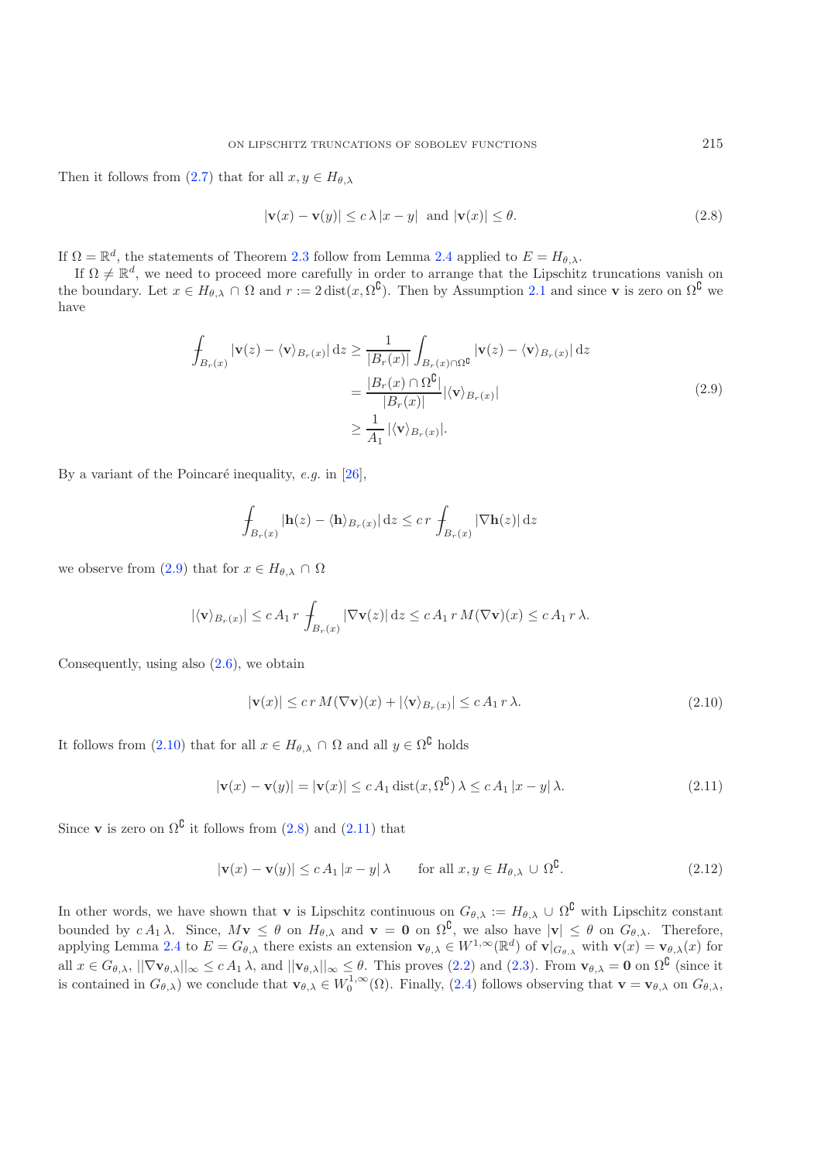Then it follows from [\(2.7\)](#page-3-2) that for all  $x, y \in H_{\theta,\lambda}$ 

<span id="page-4-2"></span><span id="page-4-0"></span>
$$
|\mathbf{v}(x) - \mathbf{v}(y)| \le c \lambda |x - y| \text{ and } |\mathbf{v}(x)| \le \theta. \tag{2.8}
$$

If  $\Omega = \mathbb{R}^d$ , the statements of Theorem [2.3](#page-3-0) follow from Lemma [2.4](#page-3-3) applied to  $E = H_{\theta,\lambda}$ .

If  $\Omega \neq \mathbb{R}^d$ , we need to proceed more carefully in order to arrange that the Lipschitz truncations vanish on the boundary. Let  $x \in H_{\theta,\lambda} \cap \Omega$  and  $r := 2$  dist( $x, \Omega^{\complement}$ ). Then by Assumption [2.1](#page-2-3) and since **v** is zero on  $\Omega^{\complement}$  we have

$$
\int_{B_r(x)} |\mathbf{v}(z) - \langle \mathbf{v} \rangle_{B_r(x)}| dz \ge \frac{1}{|B_r(x)|} \int_{B_r(x) \cap \Omega^{\complement}} |\mathbf{v}(z) - \langle \mathbf{v} \rangle_{B_r(x)}| dz
$$
\n
$$
= \frac{|B_r(x) \cap \Omega^{\complement}|}{|B_r(x)|} |\langle \mathbf{v} \rangle_{B_r(x)}|
$$
\n
$$
\ge \frac{1}{A_1} |\langle \mathbf{v} \rangle_{B_r(x)}|.
$$
\n(2.9)

By a variant of the Poincaré inequality, *e.g.* in  $[26]$  $[26]$ ,

<span id="page-4-3"></span><span id="page-4-1"></span>
$$
\int_{B_r(x)} |\mathbf{h}(z) - \langle \mathbf{h} \rangle_{B_r(x)}| \, \mathrm{d}z \leq c \, r \, \int_{B_r(x)} |\nabla \mathbf{h}(z)| \, \mathrm{d}z
$$

we observe from [\(2.9\)](#page-4-0) that for  $x \in H_{\theta,\lambda} \cap \Omega$ 

$$
|\langle \mathbf{v} \rangle_{B_r(x)}| \le c A_1 r \int_{B_r(x)} |\nabla \mathbf{v}(z)| dz \le c A_1 r M(\nabla \mathbf{v})(x) \le c A_1 r \lambda.
$$

Consequently, using also [\(2.6\)](#page-3-4), we obtain

$$
|\mathbf{v}(x)| \le c r M(\nabla \mathbf{v})(x) + |\langle \mathbf{v} \rangle_{B_r(x)}| \le c A_1 r \lambda.
$$
\n(2.10)

It follows from [\(2.10\)](#page-4-1) that for all  $x \in H_{\theta,\lambda} \cap \Omega$  and all  $y \in \Omega^{\complement}$  holds

$$
|\mathbf{v}(x) - \mathbf{v}(y)| = |\mathbf{v}(x)| \le c A_1 \operatorname{dist}(x, \Omega^{\complement}) \lambda \le c A_1 |x - y| \lambda. \tag{2.11}
$$

Since **v** is zero on  $\Omega^{\complement}$  it follows from [\(2.8\)](#page-4-2) and [\(2.11\)](#page-4-3) that

$$
|\mathbf{v}(x) - \mathbf{v}(y)| \le c A_1 |x - y| \lambda \quad \text{for all } x, y \in H_{\theta, \lambda} \cup \Omega^{\mathsf{U}}.
$$
 (2.12)

In other words, we have shown that **v** is Lipschitz continuous on  $G_{\theta,\lambda} := H_{\theta,\lambda} \cup \Omega^{\complement}$  with Lipschitz constant bounded by  $c A_1 \lambda$ . Since,  $M \mathbf{v} \leq \theta$  on  $H_{\theta,\lambda}$  and  $\mathbf{v} = \mathbf{0}$  on  $\Omega^{\complement}$ , we also have  $|\mathbf{v}| \leq \theta$  on  $G_{\theta,\lambda}$ . Therefore, applying Lemma [2.4](#page-3-3) to  $E = G_{\theta,\lambda}$  there exists an extension  $\mathbf{v}_{\theta,\lambda} \in W^{1,\infty}(\mathbb{R}^d)$  of  $\mathbf{v}|_{G_{\theta,\lambda}}$  with  $\mathbf{v}(x) = \mathbf{v}_{\theta,\lambda}(x)$  for all  $x \in G_{\theta,\lambda}$ ,  $||\nabla \mathbf{v}_{\theta,\lambda}||_{\infty} \le c A_1 \lambda$ , and  $||\mathbf{v}_{\theta,\lambda}||_{\infty} \le \theta$ . This proves [\(2.2\)](#page-3-5) and [\(2.3\)](#page-3-6). From  $\mathbf{v}_{\theta,\lambda} = \mathbf{0}$  on  $\Omega^{\complement}$  (since it is contained in  $G_{\theta,\lambda}$ ) we conclude that  $\mathbf{v}_{\theta,\lambda} \in W_0^{1,\infty}(\Omega)$ . Finally, [\(2.4\)](#page-3-7) follows observing that  $\mathbf{v} = \mathbf{v}_{\theta,\lambda}$  on  $G_{\theta,\lambda}$ ,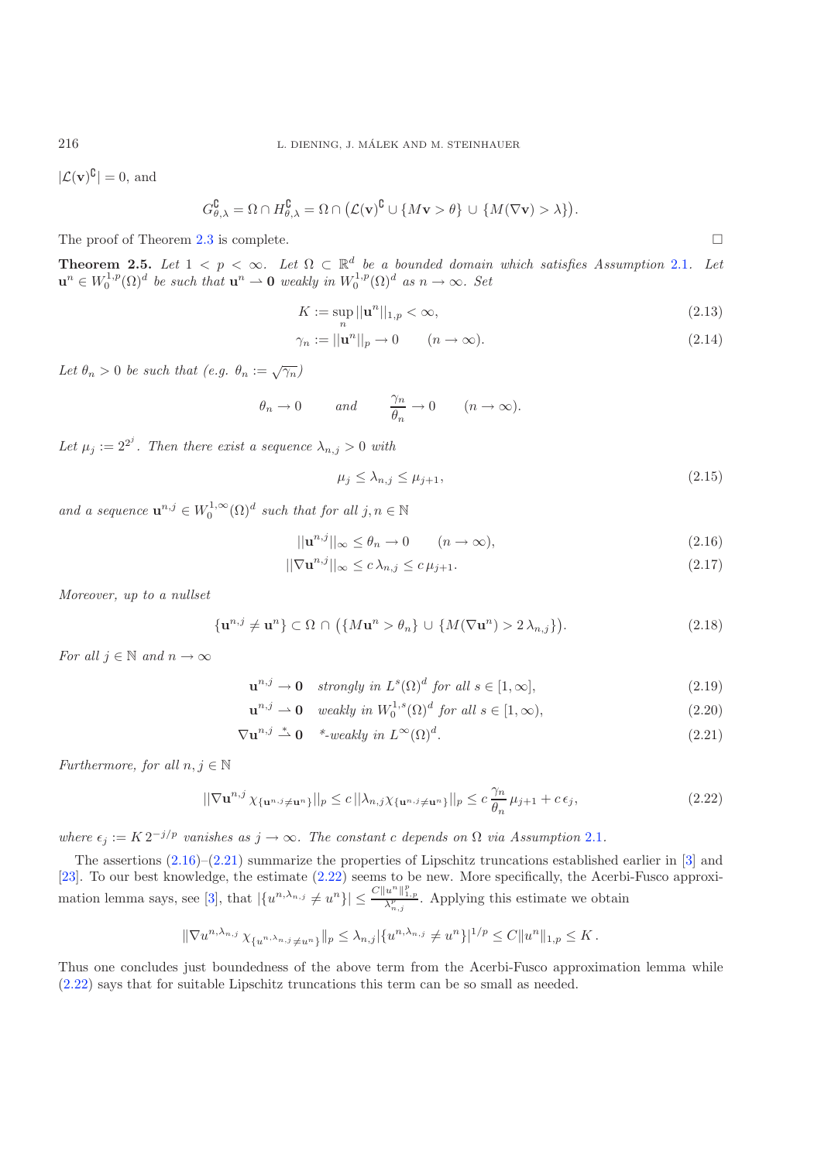$|\mathcal{L}(\mathbf{v})^{\complement}| = 0$ , and

$$
G_{\theta,\lambda}^{\complement} = \Omega \cap H_{\theta,\lambda}^{\complement} = \Omega \cap (\mathcal{L}(\mathbf{v})^{\complement} \cup \{M\mathbf{v} > \theta\} \cup \{M(\nabla \mathbf{v}) > \lambda\}).
$$

<span id="page-5-0"></span>The proof of Theorem [2.3](#page-3-0) is complete.  $\Box$ 

<span id="page-5-5"></span><span id="page-5-4"></span><span id="page-5-1"></span>

**Theorem 2.5.** Let  $1 < p < \infty$ . Let  $\Omega \subset \mathbb{R}^d$  be a bounded domain which satisfies Assumption [2.1](#page-2-3). Let  $\mathbf{u}^{n} \in W_0^{1,p}(\Omega)^d$  *be such that*  $\mathbf{u}^{n} \to \mathbf{0}$  *weakly in*  $W_0^{1,p}(\Omega)^d$  *as*  $n \to \infty$ *. Set* 

$$
K := \sup_{n} ||\mathbf{u}^{n}||_{1,p} < \infty,
$$
\n(2.13)

$$
\gamma_n := ||\mathbf{u}^n||_p \to 0 \qquad (n \to \infty). \tag{2.14}
$$

Let  $\theta_n > 0$  be such that  $(e.g. \theta_n := \sqrt{\gamma_n})$ 

$$
\theta_n \to 0
$$
 and  $\frac{\gamma_n}{\theta_n} \to 0$   $(n \to \infty)$ .

Let  $\mu_j := 2^{2^j}$ . Then there exist a sequence  $\lambda_{n,j} > 0$  with

<span id="page-5-6"></span><span id="page-5-3"></span><span id="page-5-2"></span>
$$
\mu_j \le \lambda_{n,j} \le \mu_{j+1},\tag{2.15}
$$

*and a sequence*  $\mathbf{u}^{n,j} \in W_0^{1,\infty}(\Omega)^d$  *such that for all*  $j, n \in \mathbb{N}$ 

$$
||\mathbf{u}^{n,j}||_{\infty} \le \theta_n \to 0 \qquad (n \to \infty), \tag{2.16}
$$

$$
\|\nabla \mathbf{u}^{n,j}\|_{\infty} \le c \,\lambda_{n,j} \le c \,\mu_{j+1}.\tag{2.17}
$$

*Moreover, up to a nullset*

$$
\{\mathbf u^{n,j} \neq \mathbf u^n\} \subset \Omega \cap \big(\{M\mathbf u^n > \theta_n\} \cup \{M(\nabla \mathbf u^n) > 2\lambda_{n,j}\}\big). \tag{2.18}
$$

*For all*  $j \in \mathbb{N}$  *and*  $n \to \infty$ 

$$
\mathbf{u}^{n,j} \to \mathbf{0} \quad strongly \ in \ L^s(\Omega)^d \ for \ all \ s \in [1,\infty], \tag{2.19}
$$

$$
\mathbf{u}^{n,j} \rightharpoonup \mathbf{0} \quad weakly \ in \ W_0^{1,s}(\Omega)^d \ for \ all \ s \in [1,\infty), \tag{2.20}
$$

$$
\nabla \mathbf{u}^{n,j} \stackrel{*}{\rightharpoonup} \mathbf{0} \qquad ^* \text{-} weakly in } L^{\infty}(\Omega)^d. \tag{2.21}
$$

*Furthermore, for all*  $n, j \in \mathbb{N}$ 

$$
||\nabla \mathbf{u}^{n,j} \chi_{\{\mathbf{u}^{n,j}\neq \mathbf{u}^n\}}||_p \le c ||\lambda_{n,j} \chi_{\{\mathbf{u}^{n,j}\neq \mathbf{u}^n\}}||_p \le c \frac{\gamma_n}{\theta_n} \mu_{j+1} + c \epsilon_j,
$$
\n(2.22)

*where*  $\epsilon_j := K 2^{-j/p}$  *vanishes as*  $j \to \infty$ *. The constant c depends on*  $\Omega$  *via Assumption* [2.1](#page-2-3)*.* 

The assertions  $(2.16)$ – $(2.21)$  summarize the properties of Lipschitz truncations established earlier in [\[3\]](#page-20-0) and [\[23\]](#page-21-1). To our best knowledge, the estimate [\(2.22\)](#page-5-3) seems to be new. More specifically, the Acerbi-Fusco approxi-mation lemma says, see [\[3\]](#page-20-0), that  $|\{u^{n,\lambda_{n,j}} \neq u^n\}| \leq \frac{C \|u^n\|_{1,p}^p}{\lambda_{n,j}^p}$ . Applying this estimate we obtain

$$
\|\nabla u^{n,\lambda_{n,j}} \chi_{\{u^{n,\lambda_{n,j}} \neq u^n\}}\|_p \leq \lambda_{n,j} |\{u^{n,\lambda_{n,j}} \neq u^n\}|^{1/p} \leq C \|u^n\|_{1,p} \leq K.
$$

Thus one concludes just boundedness of the above term from the Acerbi-Fusco approximation lemma while [\(2.22\)](#page-5-3) says that for suitable Lipschitz truncations this term can be so small as needed.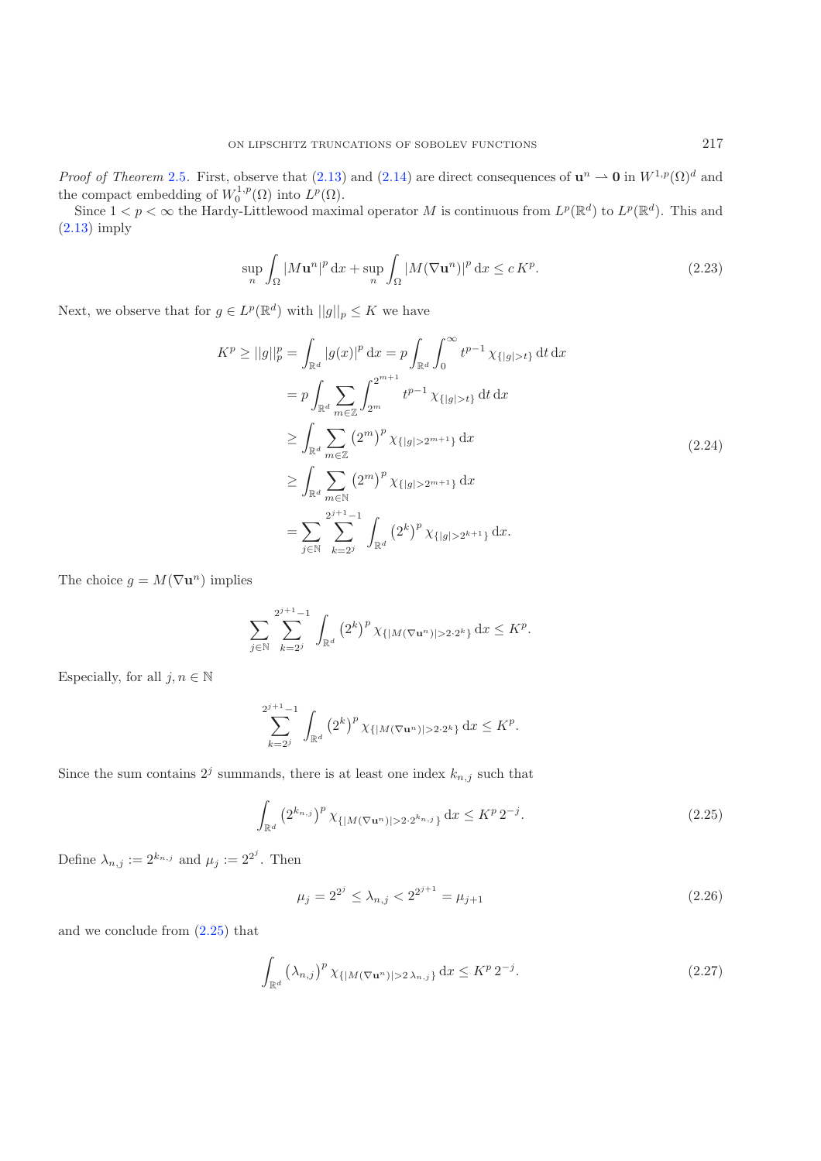*Proof of Theorem* [2.5](#page-5-0). First, observe that [\(2.13\)](#page-5-4) and [\(2.14\)](#page-5-5) are direct consequences of  $\mathbf{u}^n \to \mathbf{0}$  in  $W^{1,p}(\Omega)^d$  and the compact embedding of  $W_0^{1,p}(\Omega)$  into  $L^p(\Omega)$ .

Since  $1 < p < \infty$  the Hardy-Littlewood maximal operator M is continuous from  $L^p(\mathbb{R}^d)$  to  $L^p(\mathbb{R}^d)$ . This and [\(2.13\)](#page-5-4) imply

$$
\sup_{n} \int_{\Omega} |M \mathbf{u}^{n}|^{p} \, \mathrm{d}x + \sup_{n} \int_{\Omega} |M (\nabla \mathbf{u}^{n})|^{p} \, \mathrm{d}x \le c \, K^{p}.
$$
\n(2.23)

Next, we observe that for  $g\in L^p(\mathbb{R}^d)$  with  $||g||_p\leq K$  we have

$$
K^{p} \geq ||g||_{p}^{p} = \int_{\mathbb{R}^{d}} |g(x)|^{p} dx = p \int_{\mathbb{R}^{d}} \int_{0}^{\infty} t^{p-1} \chi_{\{|g|>t\}} dt dx
$$
  
\n
$$
= p \int_{\mathbb{R}^{d}} \sum_{m \in \mathbb{Z}} \int_{2^{m}}^{2^{m+1}} t^{p-1} \chi_{\{|g|>t\}} dt dx
$$
  
\n
$$
\geq \int_{\mathbb{R}^{d}} \sum_{m \in \mathbb{Z}} (2^{m})^{p} \chi_{\{|g|>2^{m+1}\}} dx
$$
  
\n
$$
\geq \int_{\mathbb{R}^{d}} \sum_{m \in \mathbb{N}} (2^{m})^{p} \chi_{\{|g|>2^{m+1}\}} dx
$$
  
\n
$$
= \sum_{j \in \mathbb{N}} \sum_{k=2^{j}}^{2^{j+1}-1} \int_{\mathbb{R}^{d}} (2^{k})^{p} \chi_{\{|g|>2^{k+1}\}} dx.
$$
  
\n(2.24)

The choice  $g = M(\nabla \mathbf{u}^n)$  implies

<span id="page-6-0"></span>
$$
\sum_{j \in \mathbb{N}} \sum_{k=2^j}^{2^{j+1}-1} \int_{\mathbb{R}^d} \left(2^k\right)^p \chi_{\{|M(\nabla \mathbf{u}^n)| > 2 \cdot 2^k\}} \, \mathrm{d}x \le K^p.
$$

Especially, for all  $j, n \in \mathbb{N}$ 

<span id="page-6-1"></span>
$$
\sum_{k=2^j}^{2^{j+1}-1} \int_{\mathbb{R}^d} \left(2^k\right)^p \chi_{\{|M(\nabla \mathbf{u}^n)|>2\cdot 2^k\}} \, \mathrm{d}x \le K^p.
$$

Since the sum contains  $2^j$  summands, there is at least one index  $k_{n,j}$  such that

$$
\int_{\mathbb{R}^d} \left( 2^{k_{n,j}} \right)^p \chi_{\{|M(\nabla \mathbf{u}^n)| > 2 \cdot 2^{k_{n,j}}\}} \, \mathrm{d}x \le K^p \, 2^{-j}.
$$
\n(2.25)

Define  $\lambda_{n,j} := 2^{k_{n,j}}$  and  $\mu_j := 2^{2^j}$ . Then

$$
\mu_j = 2^{2^j} \le \lambda_{n,j} < 2^{2^{j+1}} = \mu_{j+1} \tag{2.26}
$$

and we conclude from [\(2.25\)](#page-6-0) that

$$
\int_{\mathbb{R}^d} \left(\lambda_{n,j}\right)^p \chi_{\{|M(\nabla \mathbf{u}^n)| > 2\lambda_{n,j}\}} \, \mathrm{d}x \le K^p \, 2^{-j}.\tag{2.27}
$$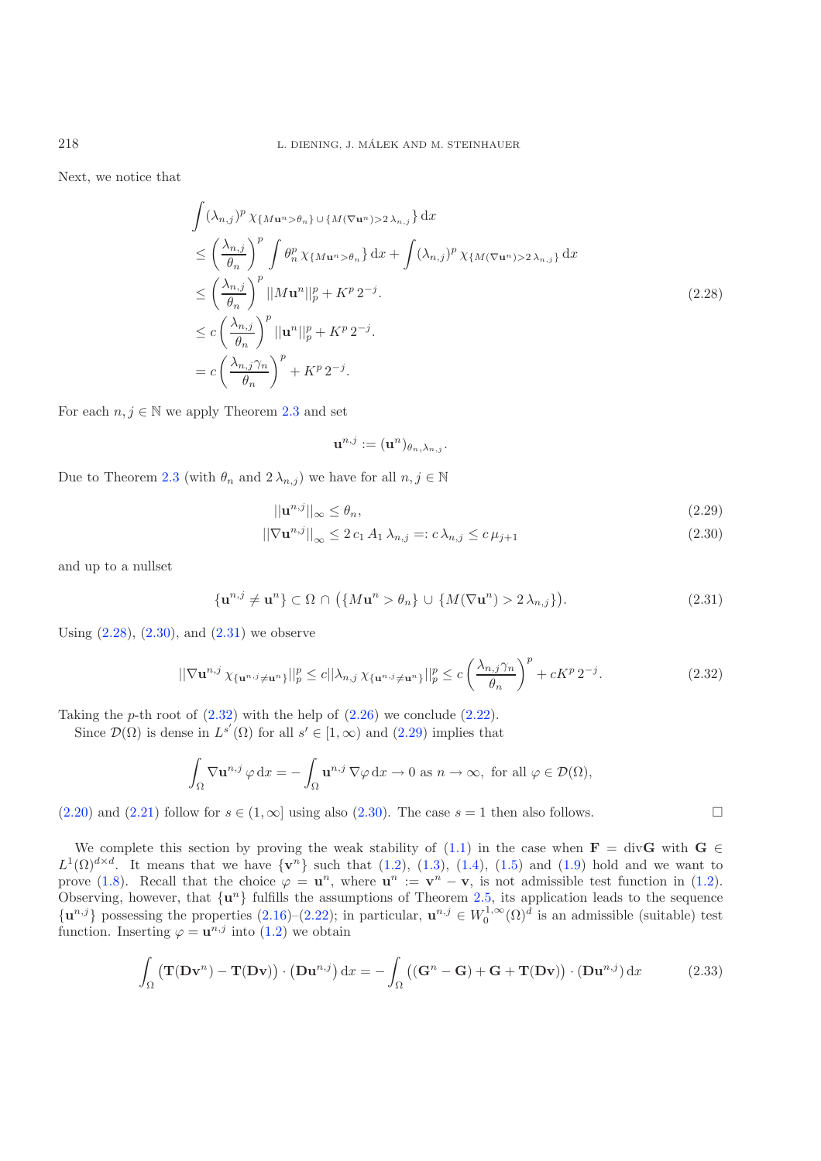Next, we notice that

<span id="page-7-0"></span>
$$
\int (\lambda_{n,j})^p \chi_{\{Mu^n > \theta_n\}} \cup \{M(\nabla \mathbf{u}^n) > 2 \lambda_{n,j}\} \, \mathrm{d}x
$$
\n
$$
\leq \left(\frac{\lambda_{n,j}}{\theta_n}\right)^p \int \theta_n^p \chi_{\{Mu^n > \theta_n\}} \, \mathrm{d}x + \int (\lambda_{n,j})^p \chi_{\{M(\nabla \mathbf{u}^n) > 2 \lambda_{n,j}\}} \, \mathrm{d}x
$$
\n
$$
\leq \left(\frac{\lambda_{n,j}}{\theta_n}\right)^p ||Mu^n||_p^p + K^p 2^{-j}.
$$
\n
$$
\leq c \left(\frac{\lambda_{n,j}}{\theta_n}\right)^p ||\mathbf{u}^n||_p^p + K^p 2^{-j}.
$$
\n
$$
= c \left(\frac{\lambda_{n,j} \gamma_n}{\theta_n}\right)^p + K^p 2^{-j}.
$$
\n(2.28)

For each  $n, j \in \mathbb{N}$  we apply Theorem [2.3](#page-3-0) and set

<span id="page-7-4"></span><span id="page-7-3"></span><span id="page-7-2"></span><span id="page-7-1"></span>
$$
\mathbf{u}^{n,j} := (\mathbf{u}^n)_{\theta_n, \lambda_{n,j}}.
$$

Due to Theorem [2.3](#page-3-0) (with  $\theta_n$  and  $2\lambda_{n,j}$ ) we have for all  $n, j \in \mathbb{N}$ 

$$
||\mathbf{u}^{n,j}||_{\infty} \le \theta_n,\tag{2.29}
$$

$$
\left\|\nabla \mathbf{u}^{n,j}\right\|_{\infty} \le 2 c_1 A_1 \lambda_{n,j} =: c \lambda_{n,j} \le c \mu_{j+1} \tag{2.30}
$$

and up to a nullset

$$
\{\mathbf u^{n,j} \neq \mathbf u^n\} \subset \Omega \cap (\{M\mathbf u^n > \theta_n\} \cup \{M(\nabla \mathbf u^n) > 2\lambda_{n,j}\}).\tag{2.31}
$$

Using  $(2.28)$ ,  $(2.30)$ , and  $(2.31)$  we observe

$$
\|\nabla \mathbf{u}^{n,j} \chi_{\{\mathbf{u}^{n,j}\neq \mathbf{u}^n\}}\|_p^p \le c \|\lambda_{n,j} \chi_{\{\mathbf{u}^{n,j}\neq \mathbf{u}^n\}}\|_p^p \le c \left(\frac{\lambda_{n,j}\gamma_n}{\theta_n}\right)^p + cK^p 2^{-j}.\tag{2.32}
$$

Taking the p-th root of  $(2.32)$  with the help of  $(2.26)$  we conclude  $(2.22)$ .

Since  $\mathcal{D}(\Omega)$  is dense in  $L^{s'}(\Omega)$  for all  $s' \in [1,\infty)$  and  $(2.29)$  implies that

$$
\int_{\Omega} \nabla \mathbf{u}^{n,j} \,\varphi \,dx = -\int_{\Omega} \mathbf{u}^{n,j} \,\nabla \varphi \,dx \to 0 \text{ as } n \to \infty, \text{ for all } \varphi \in \mathcal{D}(\Omega),
$$

 $(2.20)$  and  $(2.21)$  follow for  $s \in (1,\infty]$  using also  $(2.30)$ . The case  $s = 1$  then also follows.

We complete this section by proving the weak stability of  $(1.1)$  in the case when **F** = div**G** with **G** ∈  $L^1(\Omega)^{d \times d}$ . It means that we have  $\{v^n\}$  such that [\(1.2\)](#page-1-4), [\(1.3\)](#page-1-2), [\(1.4\)](#page-1-5), [\(1.5\)](#page-1-6) and [\(1.9\)](#page-2-4) hold and we want to prove [\(1.8\)](#page-2-2). Recall that the choice  $\varphi = \mathbf{u}^n$ , where  $\mathbf{u}^n := \mathbf{v}^n - \mathbf{v}$ , is not admissible test function in [\(1.2\)](#page-1-4). Observing, however, that  $\{u^n\}$  fulfills the assumptions of Theorem [2.5,](#page-5-0) its application leads to the sequence  ${\bf u}^{n,j}$  possessing the properties [\(2.16\)](#page-5-1)–[\(2.22\)](#page-5-3); in particular,  ${\bf u}^{n,j} \in W_0^{1,\infty}(\Omega)^d$  is an admissible (suitable) test function. Inserting  $\varphi = \mathbf{u}^{n,j}$  into [\(1.2\)](#page-1-4) we obtain

$$
\int_{\Omega} \left( \mathbf{T}(\mathbf{D}\mathbf{v}^{n}) - \mathbf{T}(\mathbf{D}\mathbf{v}) \right) \cdot \left( \mathbf{D}\mathbf{u}^{n,j} \right) dx = -\int_{\Omega} \left( (\mathbf{G}^{n} - \mathbf{G}) + \mathbf{G} + \mathbf{T}(\mathbf{D}\mathbf{v}) \right) \cdot \left( \mathbf{D}\mathbf{u}^{n,j} \right) dx \tag{2.33}
$$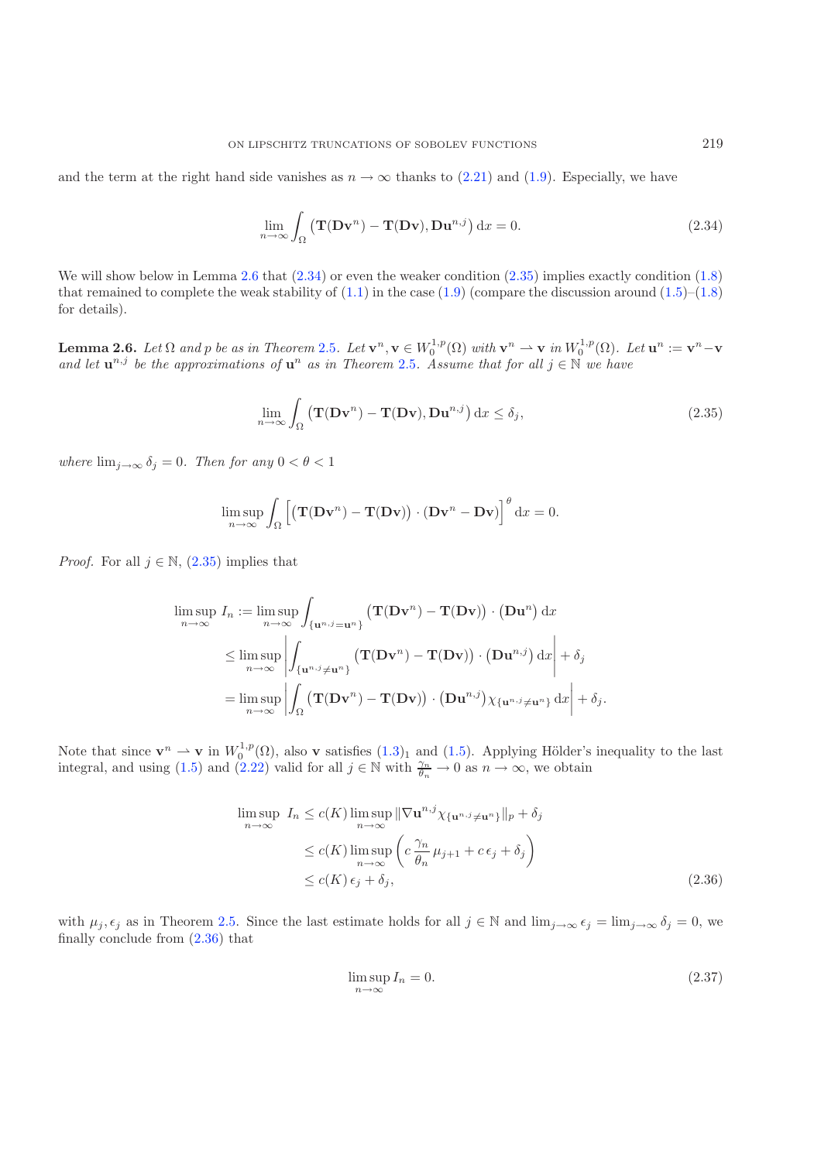<span id="page-8-2"></span><span id="page-8-1"></span>
$$
\lim_{n \to \infty} \int_{\Omega} \left( \mathbf{T}(\mathbf{D} \mathbf{v}^n) - \mathbf{T}(\mathbf{D} \mathbf{v}), \mathbf{D} \mathbf{u}^{n,j} \right) dx = 0.
$$
 (2.34)

<span id="page-8-0"></span>We will show below in Lemma [2.6](#page-8-0) that  $(2.34)$  or even the weaker condition  $(2.35)$  implies exactly condition  $(1.8)$ that remained to complete the weak stability of  $(1.1)$  in the case  $(1.9)$  (compare the discussion around  $(1.5)$ – $(1.8)$ ) for details).

**Lemma 2.6.** Let  $\Omega$  and p be as in Theorem [2.5](#page-5-0). Let  $\mathbf{v}^n, \mathbf{v} \in W_0^{1,p}(\Omega)$  with  $\mathbf{v}^n \to \mathbf{v}$  in  $W_0^{1,p}(\Omega)$ . Let  $\mathbf{u}^n := \mathbf{v}^n - \mathbf{v}$ *and let*  $\mathbf{u}^{n,j}$  *be the approximations of*  $\mathbf{u}^n$  *as in Theorem* [2.5](#page-5-0)*. Assume that for all*  $j \in \mathbb{N}$  *we have* 

$$
\lim_{n \to \infty} \int_{\Omega} \left( \mathbf{T}(\mathbf{D} \mathbf{v}^n) - \mathbf{T}(\mathbf{D} \mathbf{v}), \mathbf{D} \mathbf{u}^{n,j} \right) dx \le \delta_j,
$$
\n(2.35)

*where*  $\lim_{j\to\infty} \delta_j = 0$ *. Then for any*  $0 < \theta < 1$ 

$$
\limsup_{n \to \infty} \int_{\Omega} \left[ \left( \mathbf{T}(\mathbf{D} \mathbf{v}^n) - \mathbf{T}(\mathbf{D} \mathbf{v}) \right) \cdot (\mathbf{D} \mathbf{v}^n - \mathbf{D} \mathbf{v}) \right]^{\theta} dx = 0.
$$

<span id="page-8-3"></span>*Proof.* For all  $j \in \mathbb{N}$ ,  $(2.35)$  implies that

$$
\limsup_{n \to \infty} I_n := \limsup_{n \to \infty} \int_{\{\mathbf{u}^{n,j} = \mathbf{u}^n\}} (\mathbf{T}(\mathbf{D}\mathbf{v}^n) - \mathbf{T}(\mathbf{D}\mathbf{v})) \cdot (\mathbf{D}\mathbf{u}^n) dx
$$
\n
$$
\leq \limsup_{n \to \infty} \left| \int_{\{\mathbf{u}^{n,j} \neq \mathbf{u}^n\}} (\mathbf{T}(\mathbf{D}\mathbf{v}^n) - \mathbf{T}(\mathbf{D}\mathbf{v})) \cdot (\mathbf{D}\mathbf{u}^{n,j}) dx \right| + \delta_j
$$
\n
$$
= \limsup_{n \to \infty} \left| \int_{\Omega} (\mathbf{T}(\mathbf{D}\mathbf{v}^n) - \mathbf{T}(\mathbf{D}\mathbf{v})) \cdot (\mathbf{D}\mathbf{u}^{n,j}) \chi_{\{\mathbf{u}^n, j \neq \mathbf{u}^n\}} dx \right| + \delta_j.
$$

Note that since  $\mathbf{v}^n \rightharpoonup \mathbf{v}$  in  $W_0^{1,p}(\Omega)$ , also **v** satisfies  $(1.3)_1$  $(1.3)_1$  and  $(1.5)$ . Applying Hölder's inequality to the last integral, and using [\(1.5\)](#page-1-6) and [\(2.22\)](#page-5-3) valid for all  $j \in \mathbb{N}$  with  $\frac{\gamma_n}{\theta_n} \to 0$  as  $n \to \infty$ , we obtain

<span id="page-8-4"></span>
$$
\limsup_{n \to \infty} I_n \le c(K) \limsup_{n \to \infty} \|\nabla \mathbf{u}^{n,j} \chi_{\{\mathbf{u}^{n,j} \neq \mathbf{u}^n\}}\|_p + \delta_j
$$
\n
$$
\le c(K) \limsup_{n \to \infty} \left(c \frac{\gamma_n}{\theta_n} \mu_{j+1} + c \epsilon_j + \delta_j\right)
$$
\n
$$
\le c(K) \epsilon_j + \delta_j,
$$
\n(2.36)

with  $\mu_j, \epsilon_j$  as in Theorem [2.5.](#page-5-0) Since the last estimate holds for all  $j \in \mathbb{N}$  and  $\lim_{j\to\infty} \epsilon_j = \lim_{j\to\infty} \delta_j = 0$ , we finally conclude from [\(2.36\)](#page-8-3) that

$$
\limsup_{n \to \infty} I_n = 0. \tag{2.37}
$$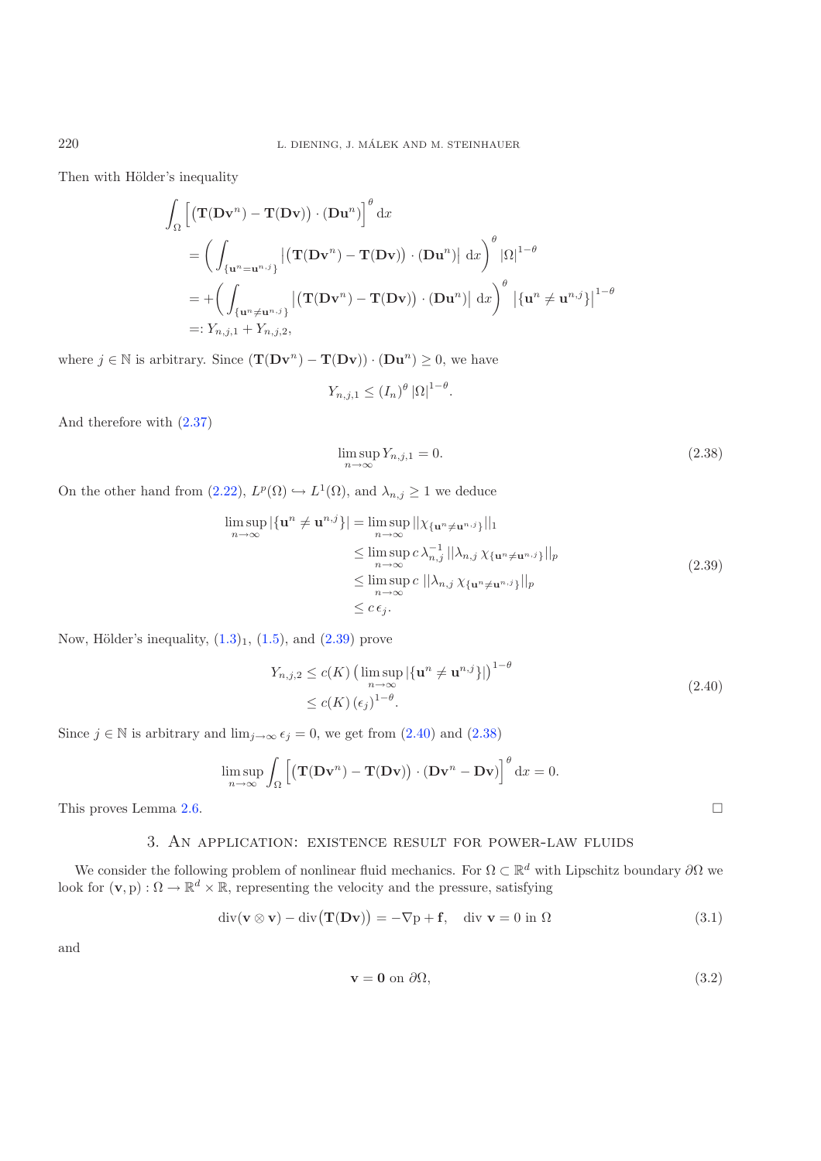Then with Hölder's inequality

$$
\int_{\Omega} \left[ \left( \mathbf{T}(\mathbf{D}\mathbf{v}^{n}) - \mathbf{T}(\mathbf{D}\mathbf{v}) \right) \cdot (\mathbf{D}\mathbf{u}^{n}) \right]^{\theta} dx
$$
\n
$$
= \left( \int_{\{\mathbf{u}^{n} = \mathbf{u}^{n,j}\}} \left| \left( \mathbf{T}(\mathbf{D}\mathbf{v}^{n}) - \mathbf{T}(\mathbf{D}\mathbf{v}) \right) \cdot (\mathbf{D}\mathbf{u}^{n}) \right| dx \right)^{\theta} |\Omega|^{1-\theta}
$$
\n
$$
= + \left( \int_{\{\mathbf{u}^{n} \neq \mathbf{u}^{n,j}\}} \left| \left( \mathbf{T}(\mathbf{D}\mathbf{v}^{n}) - \mathbf{T}(\mathbf{D}\mathbf{v}) \right) \cdot (\mathbf{D}\mathbf{u}^{n}) \right| dx \right)^{\theta} \left| \left\{ \mathbf{u}^{n} \neq \mathbf{u}^{n,j} \right\} \right|^{1-\theta}
$$
\n
$$
=: Y_{n,j,1} + Y_{n,j,2},
$$

where  $j \in \mathbb{N}$  is arbitrary. Since  $(\mathbf{T}(\mathbf{Dv}^n) - \mathbf{T}(\mathbf{Dv})) \cdot (\mathbf{Du}^n) \geq 0$ , we have

<span id="page-9-3"></span><span id="page-9-1"></span>
$$
Y_{n,j,1} \le (I_n)^{\theta} |\Omega|^{1-\theta}.
$$

And therefore with [\(2.37\)](#page-8-4)

<span id="page-9-2"></span>
$$
\limsup_{n \to \infty} Y_{n,j,1} = 0. \tag{2.38}
$$

On the other hand from [\(2.22\)](#page-5-3),  $L^p(\Omega) \hookrightarrow L^1(\Omega)$ , and  $\lambda_{n,j} \geq 1$  we deduce

$$
\limsup_{n \to \infty} |\{\mathbf{u}^n \neq \mathbf{u}^{n,j}\}| = \limsup_{n \to \infty} ||\chi_{\{\mathbf{u}^n \neq \mathbf{u}^{n,j}\}}||_1
$$
\n
$$
\leq \limsup_{n \to \infty} c \lambda_{n,j}^{-1} ||\lambda_{n,j} \chi_{\{\mathbf{u}^n \neq \mathbf{u}^{n,j}\}}||_p
$$
\n
$$
\leq \limsup_{n \to \infty} c ||\lambda_{n,j} \chi_{\{\mathbf{u}^n \neq \mathbf{u}^{n,j}\}}||_p
$$
\n
$$
\leq c \epsilon_j.
$$
\n(2.39)

Now, Hölder's inequality,  $(1.3)_1$  $(1.3)_1$ ,  $(1.5)$ , and  $(2.39)$  prove

<span id="page-9-4"></span>
$$
Y_{n,j,2} \le c(K) \left( \limsup_{n \to \infty} |\{\mathbf{u}^n \ne \mathbf{u}^{n,j}\}| \right)^{1-\theta}
$$
  
 
$$
\le c(K) \left(\epsilon_j\right)^{1-\theta}.
$$
 (2.40)

Since  $j \in \mathbb{N}$  is arbitrary and  $\lim_{j\to\infty} \epsilon_j = 0$ , we get from  $(2.40)$  and  $(2.38)$ 

$$
\limsup_{n \to \infty} \int_{\Omega} \left[ \left( \mathbf{T}(\mathbf{D} \mathbf{v}^n) - \mathbf{T}(\mathbf{D} \mathbf{v}) \right) \cdot (\mathbf{D} \mathbf{v}^n - \mathbf{D} \mathbf{v}) \right]^\theta \mathrm{d}x = 0.
$$

<span id="page-9-0"></span>This proves Lemma [2.6.](#page-8-0)  $\Box$ 

## 3. An application: existence result for power-law fluids

We consider the following problem of nonlinear fluid mechanics. For  $\Omega \subset \mathbb{R}^d$  with Lipschitz boundary  $\partial \Omega$  we look for  $(\mathbf{v}, p) : \Omega \to \mathbb{R}^d \times \mathbb{R}$ , representing the velocity and the pressure, satisfying

$$
\operatorname{div}(\mathbf{v} \otimes \mathbf{v}) - \operatorname{div}(\mathbf{T}(\mathbf{D}\mathbf{v})) = -\nabla p + \mathbf{f}, \quad \operatorname{div} \mathbf{v} = 0 \text{ in } \Omega \tag{3.1}
$$

and

<span id="page-9-5"></span>
$$
\mathbf{v} = \mathbf{0} \text{ on } \partial \Omega,\tag{3.2}
$$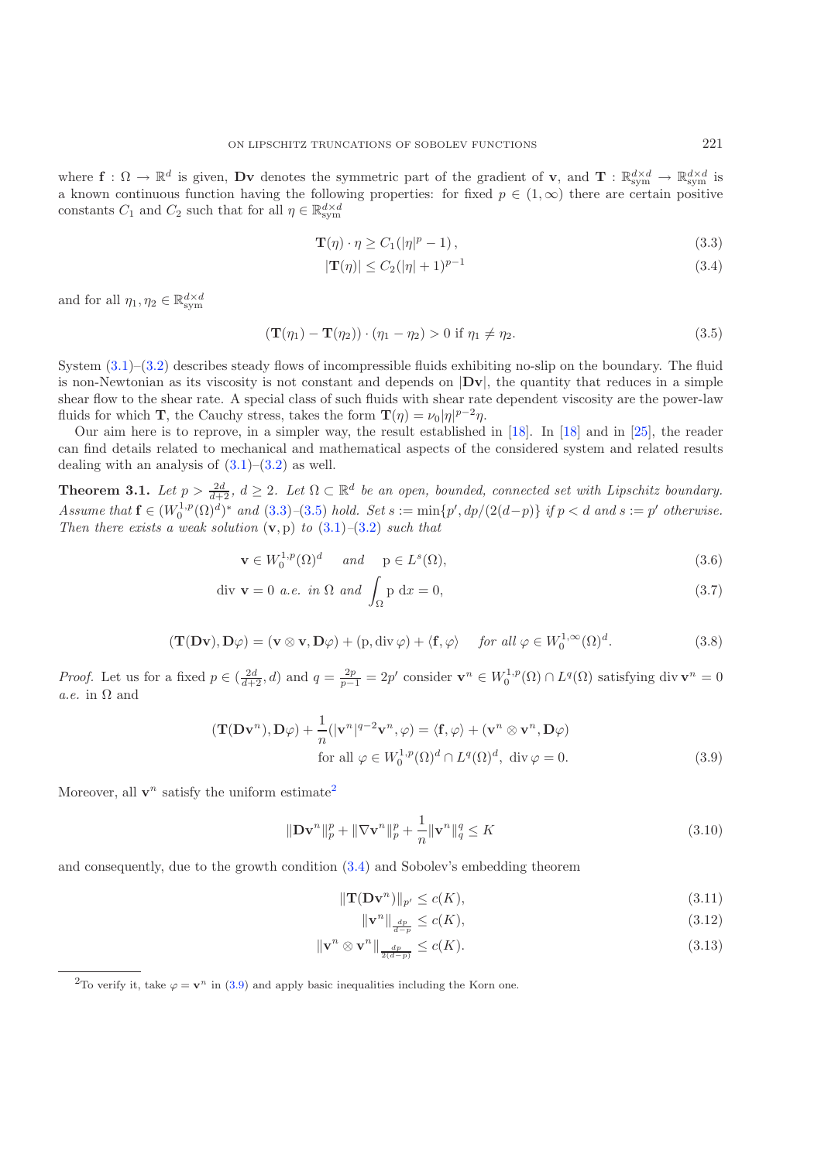where  $\mathbf{f}: \Omega \to \mathbb{R}^d$  is given, Dv denotes the symmetric part of the gradient of v, and  $\mathbf{T}: \mathbb{R}^{d \times d}_{sym} \to \mathbb{R}^{d \times d}_{sym}$  is a known continuous function having the following properties: for fixed  $p \in (1,\infty)$  there are certain positive constants  $C_1$  and  $C_2$  such that for all  $\eta \in \mathbb{R}^{d \times d}_{sym}$ 

<span id="page-10-4"></span><span id="page-10-2"></span><span id="page-10-1"></span>
$$
\mathbf{T}(\eta) \cdot \eta \ge C_1(|\eta|^p - 1),\tag{3.3}
$$

$$
|\mathbf{T}(\eta)| \le C_2 (|\eta| + 1)^{p-1}
$$
\n(3.4)

and for all  $\eta_1, \eta_2 \in \mathbb{R}^{d \times d}_{\text{sym}}$ 

$$
\left(\mathbf{T}(\eta_1) - \mathbf{T}(\eta_2)\right) \cdot \left(\eta_1 - \eta_2\right) > 0 \text{ if } \eta_1 \neq \eta_2. \tag{3.5}
$$

System [\(3.1\)](#page-9-4)–[\(3.2\)](#page-9-5) describes steady flows of incompressible fluids exhibiting no-slip on the boundary. The fluid is non-Newtonian as its viscosity is not constant and depends on |**Dv**|, the quantity that reduces in a simple shear flow to the shear rate. A special class of such fluids with shear rate dependent viscosity are the power-law fluids for which **T**, the Cauchy stress, takes the form  $\mathbf{T}(\eta) = \nu_0 |\eta|^{p-2}\eta$ .

Our aim here is to reprove, in a simpler way, the result established in [\[18\]](#page-21-10). In [\[18](#page-21-10)] and in [\[25\]](#page-21-16), the reader can find details related to mechanical and mathematical aspects of the considered system and related results dealing with an analysis of  $(3.1)$ – $(3.2)$  as well.

<span id="page-10-5"></span><span id="page-10-0"></span>**Theorem 3.1.** Let  $p > \frac{2d}{d+2}$ ,  $d \geq 2$ . Let  $\Omega \subset \mathbb{R}^d$  be an open, bounded, connected set with Lipschitz boundary. *Assume that*  $f \in (W_0^{1,p}(\Omega)^d)^*$  *and* [\(3.3\)](#page-10-1)–[\(3.5\)](#page-10-2) *hold. Set*  $s := \min\{p', dp/(2(d-p)\}$  *if*  $p < d$  *and*  $s := p'$  *otherwise. Then there exists a weak solution* (**v**, p) *to* [\(3.1\)](#page-9-4)*–*[\(3.2\)](#page-9-5) *such that*

$$
\mathbf{v} \in W_0^{1,p}(\Omega)^d \quad \text{and} \quad \mathbf{p} \in L^s(\Omega), \tag{3.6}
$$

$$
\text{div } \mathbf{v} = 0 \text{ a.e. in } \Omega \text{ and } \int_{\Omega} \mathbf{p} \, \mathrm{d}x = 0,
$$
\n(3.7)

<span id="page-10-6"></span>
$$
(\mathbf{T}(\mathbf{D}\mathbf{v}), \mathbf{D}\varphi) = (\mathbf{v} \otimes \mathbf{v}, \mathbf{D}\varphi) + (\mathbf{p}, \operatorname{div}\varphi) + \langle \mathbf{f}, \varphi \rangle \quad \text{for all } \varphi \in W_0^{1, \infty}(\Omega)^d. \tag{3.8}
$$

*Proof.* Let us for a fixed  $p \in (\frac{2d}{d+2}, d)$  and  $q = \frac{2p}{p-1} = 2p'$  consider  $\mathbf{v}^n \in W_0^{1,p}(\Omega) \cap L^q(\Omega)$  satisfying div  $\mathbf{v}^n = 0$ *a.e.* in  $\Omega$  and

$$
(\mathbf{T}(\mathbf{D}\mathbf{v}^n), \mathbf{D}\varphi) + \frac{1}{n} (|\mathbf{v}^n|^{q-2} \mathbf{v}^n, \varphi) = \langle \mathbf{f}, \varphi \rangle + (\mathbf{v}^n \otimes \mathbf{v}^n, \mathbf{D}\varphi)
$$
  
for all  $\varphi \in W_0^{1,p}(\Omega)^d \cap L^q(\Omega)^d$ , div  $\varphi = 0$ . (3.9)

<span id="page-10-3"></span>Moreover, all  $\mathbf{v}^n$  satisfy the uniform estimate<sup>[2](#page-10-3)</sup>

$$
\|\mathbf{D}\mathbf{v}^n\|_p^p + \|\nabla\mathbf{v}^n\|_p^p + \frac{1}{n}\|\mathbf{v}^n\|_q^q \le K\tag{3.10}
$$

and consequently, due to the growth condition [\(3.4\)](#page-10-4) and Sobolev's embedding theorem

<span id="page-10-9"></span><span id="page-10-8"></span><span id="page-10-7"></span>
$$
\|\mathbf{T}(\mathbf{D}\mathbf{v}^n)\|_{p'} \le c(K),\tag{3.11}
$$

$$
\|\mathbf{v}^n\|_{\frac{dp}{d-p}} \le c(K),\tag{3.12}
$$

$$
\|\mathbf{v}^n \otimes \mathbf{v}^n\|_{\frac{dp}{2(d-p)}} \le c(K). \tag{3.13}
$$

<sup>2</sup>To verify it, take  $\varphi = \mathbf{v}^n$  in [\(3.9\)](#page-10-5) and apply basic inequalities including the Korn one.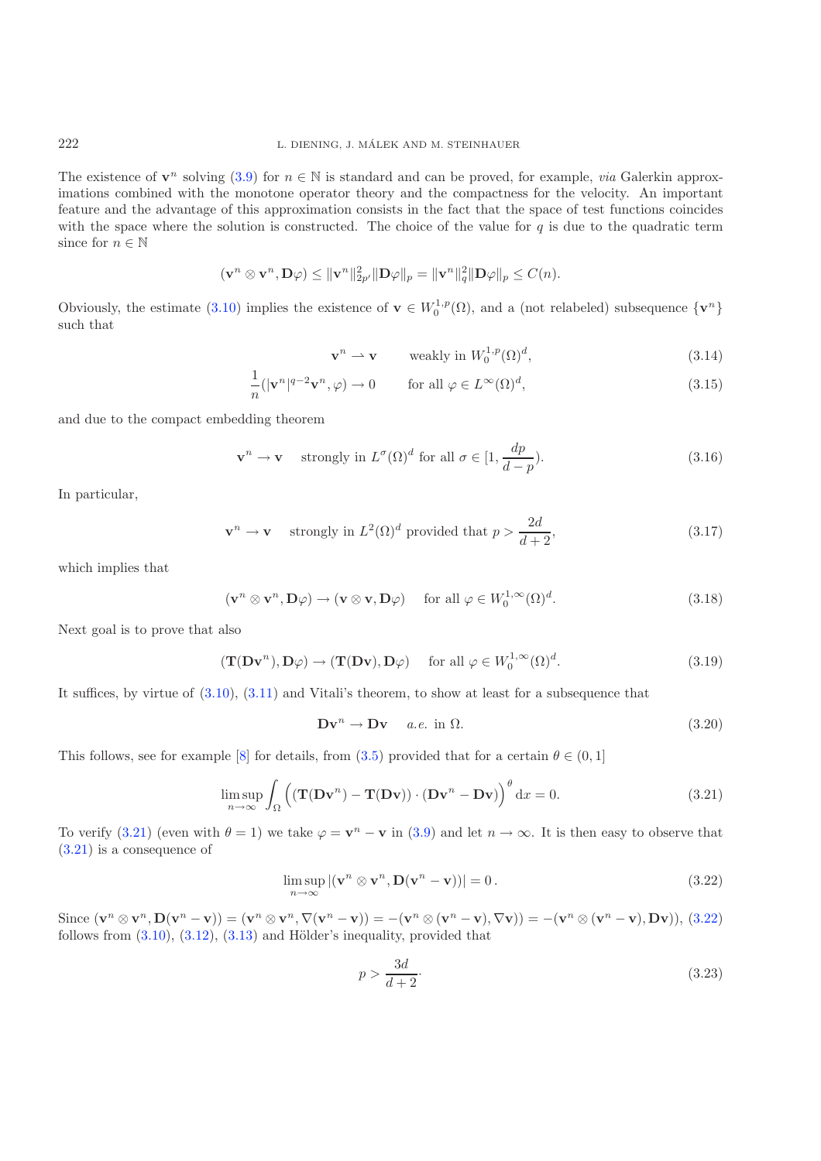The existence of  $\mathbf{v}^n$  solving [\(3.9\)](#page-10-5) for  $n \in \mathbb{N}$  is standard and can be proved, for example, *via* Galerkin approximations combined with the monotone operator theory and the compactness for the velocity. An important feature and the advantage of this approximation consists in the fact that the space of test functions coincides with the space where the solution is constructed. The choice of the value for  $q$  is due to the quadratic term since for  $n \in \mathbb{N}$ 

$$
(\mathbf{v}^n \otimes \mathbf{v}^n, \mathbf{D}\varphi) \le \|\mathbf{v}^n\|_{2p'}^2 \|\mathbf{D}\varphi\|_p = \|\mathbf{v}^n\|_q^2 \|\mathbf{D}\varphi\|_p \le C(n).
$$

Obviously, the estimate [\(3.10\)](#page-10-6) implies the existence of  $\mathbf{v} \in W_0^{1,p}(\Omega)$ , and a (not relabeled) subsequence  $\{\mathbf{v}^n\}$ such that

<span id="page-11-6"></span><span id="page-11-5"></span><span id="page-11-4"></span><span id="page-11-3"></span><span id="page-11-2"></span>
$$
\mathbf{v}^n \rightharpoonup \mathbf{v} \qquad \text{weakly in } W_0^{1,p}(\Omega)^d,
$$
\n(3.14)

$$
\frac{1}{n}(|\mathbf{v}^n|^{q-2}\mathbf{v}^n,\varphi) \to 0 \qquad \text{for all } \varphi \in L^{\infty}(\Omega)^d,
$$
\n(3.15)

and due to the compact embedding theorem

$$
\mathbf{v}^n \to \mathbf{v} \quad \text{strongly in } L^{\sigma}(\Omega)^d \text{ for all } \sigma \in [1, \frac{dp}{d-p}). \tag{3.16}
$$

In particular,

$$
\mathbf{v}^n \to \mathbf{v} \quad \text{strongly in } L^2(\Omega)^d \text{ provided that } p > \frac{2d}{d+2},\tag{3.17}
$$

which implies that

$$
(\mathbf{v}^n \otimes \mathbf{v}^n, \mathbf{D}\varphi) \to (\mathbf{v} \otimes \mathbf{v}, \mathbf{D}\varphi) \quad \text{ for all } \varphi \in W_0^{1,\infty}(\Omega)^d. \tag{3.18}
$$

Next goal is to prove that also

$$
(\mathbf{T}(\mathbf{D}\mathbf{v}^n), \mathbf{D}\varphi) \to (\mathbf{T}(\mathbf{D}\mathbf{v}), \mathbf{D}\varphi) \quad \text{ for all } \varphi \in W_0^{1,\infty}(\Omega)^d. \tag{3.19}
$$

It suffices, by virtue of [\(3.10\)](#page-10-6), [\(3.11\)](#page-10-7) and Vitali's theorem, to show at least for a subsequence that

<span id="page-11-7"></span><span id="page-11-1"></span><span id="page-11-0"></span>
$$
\mathbf{Dv}^n \to \mathbf{Dv} \quad a.e. \text{ in } \Omega. \tag{3.20}
$$

This follows, see for example [\[8\]](#page-20-4) for details, from [\(3.5\)](#page-10-2) provided that for a certain  $\theta \in (0,1]$ 

$$
\limsup_{n \to \infty} \int_{\Omega} \left( (\mathbf{T}(\mathbf{D}\mathbf{v}^n) - \mathbf{T}(\mathbf{D}\mathbf{v})) \cdot (\mathbf{D}\mathbf{v}^n - \mathbf{D}\mathbf{v}) \right)^\theta \mathrm{d}x = 0. \tag{3.21}
$$

To verify [\(3.21\)](#page-11-0) (even with  $\theta = 1$ ) we take  $\varphi = \mathbf{v}^n - \mathbf{v}$  in [\(3.9\)](#page-10-5) and let  $n \to \infty$ . It is then easy to observe that [\(3.21\)](#page-11-0) is a consequence of

$$
\limsup_{n \to \infty} |(\mathbf{v}^n \otimes \mathbf{v}^n, \mathbf{D}(\mathbf{v}^n - \mathbf{v}))| = 0.
$$
\n(3.22)

Since  $(\mathbf{v}^n \otimes \mathbf{v}^n, \mathbf{D}(\mathbf{v}^n - \mathbf{v})) = (\mathbf{v}^n \otimes \mathbf{v}^n, \nabla(\mathbf{v}^n - \mathbf{v})) = -(\mathbf{v}^n \otimes (\mathbf{v}^n - \mathbf{v}), \nabla \mathbf{v})) = -(\mathbf{v}^n \otimes (\mathbf{v}^n - \mathbf{v}), \mathbf{D} \mathbf{v})),$  [\(3.22\)](#page-11-1) follows from  $(3.10)$ ,  $(3.12)$ ,  $(3.13)$  and Hölder's inequality, provided that

$$
p > \frac{3d}{d+2}.\tag{3.23}
$$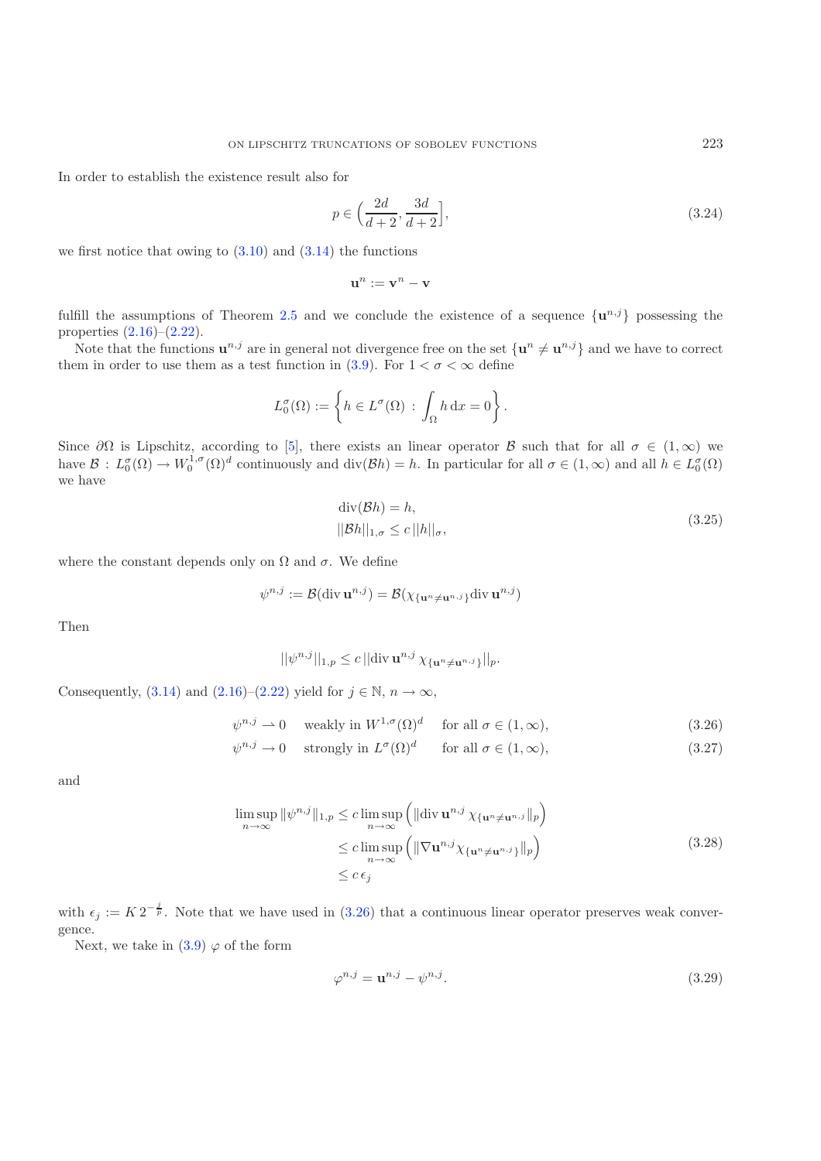In order to establish the existence result also for

$$
p \in \left(\frac{2d}{d+2}, \frac{3d}{d+2}\right],\tag{3.24}
$$

we first notice that owing to  $(3.10)$  and  $(3.14)$  the functions

<span id="page-12-1"></span>
$$
\mathbf{u}^n := \mathbf{v}^n - \mathbf{v}
$$

fulfill the assumptions of Theorem [2.5](#page-5-0) and we conclude the existence of a sequence  $\{u^{n,j}\}$  possessing the properties  $(2.16)$ – $(2.22)$ .

Note that the functions  $\mathbf{u}^{n,j}$  are in general not divergence free on the set  $\{\mathbf{u}^n \neq \mathbf{u}^{n,j}\}\$  and we have to correct them in order to use them as a test function in [\(3.9\)](#page-10-5). For  $1 < \sigma < \infty$  define

$$
L_0^{\sigma}(\Omega) := \left\{ h \in L^{\sigma}(\Omega) \, : \, \int_{\Omega} h \, dx = 0 \right\}.
$$

Since  $\partial\Omega$  is Lipschitz, according to [\[5\]](#page-20-5), there exists an linear operator B such that for all  $\sigma \in (1,\infty)$  we have  $\mathcal{B}: L_0^{\sigma}(\Omega) \to W_0^{1,\sigma}(\Omega)^d$  continuously and div $(\mathcal{B}h) = h$ . In particular for all  $\sigma \in (1,\infty)$  and all  $h \in L_0^{\sigma}(\Omega)$ we have

<span id="page-12-3"></span><span id="page-12-2"></span><span id="page-12-0"></span>
$$
\text{div}(\mathcal{B}h) = h,
$$
  
 
$$
||\mathcal{B}h||_{1,\sigma} \le c \, ||h||_{\sigma},
$$
 (3.25)

where the constant depends only on  $\Omega$  and  $\sigma$ . We define

$$
\psi^{n,j} := \mathcal{B}(\text{div } \mathbf{u}^{n,j}) = \mathcal{B}(\chi_{\{\mathbf{u}^n \neq \mathbf{u}^{n,j}\}} \text{div } \mathbf{u}^{n,j})
$$

Then

$$
||\psi^{n,j}||_{1,p} \le c \, ||\text{div}\,\mathbf{u}^{n,j} \,\chi_{\{\mathbf{u}^n \neq \mathbf{u}^{n,j}\}}||_p.
$$

Consequently, [\(3.14\)](#page-11-2) and [\(2.16\)](#page-5-1)–[\(2.22\)](#page-5-3) yield for  $j \in \mathbb{N}$ ,  $n \to \infty$ ,

$$
\psi^{n,j} \rightharpoonup 0 \quad \text{ weakly in } W^{1,\sigma}(\Omega)^d \quad \text{ for all } \sigma \in (1,\infty), \tag{3.26}
$$

$$
\psi^{n,j} \to 0 \quad \text{strongly in } L^{\sigma}(\Omega)^{d} \qquad \text{for all } \sigma \in (1,\infty), \tag{3.27}
$$

and

$$
\limsup_{n \to \infty} \|\psi^{n,j}\|_{1,p} \le c \limsup_{n \to \infty} \left( \|\text{div } \mathbf{u}^{n,j} \chi_{\{\mathbf{u}^n \neq \mathbf{u}^{n,j}\}}\|_p \right)
$$
\n
$$
\le c \limsup_{n \to \infty} \left( \|\nabla \mathbf{u}^{n,j} \chi_{\{\mathbf{u}^n \neq \mathbf{u}^{n,j}\}}\|_p \right) \tag{3.28}
$$
\n
$$
\le c \epsilon_j
$$

with  $\epsilon_j := K 2^{-\frac{j}{p}}$ . Note that we have used in [\(3.26\)](#page-12-0) that a continuous linear operator preserves weak convergence.

Next, we take in  $(3.9) \varphi$  $(3.9) \varphi$  of the form

$$
\varphi^{n,j} = \mathbf{u}^{n,j} - \psi^{n,j}.\tag{3.29}
$$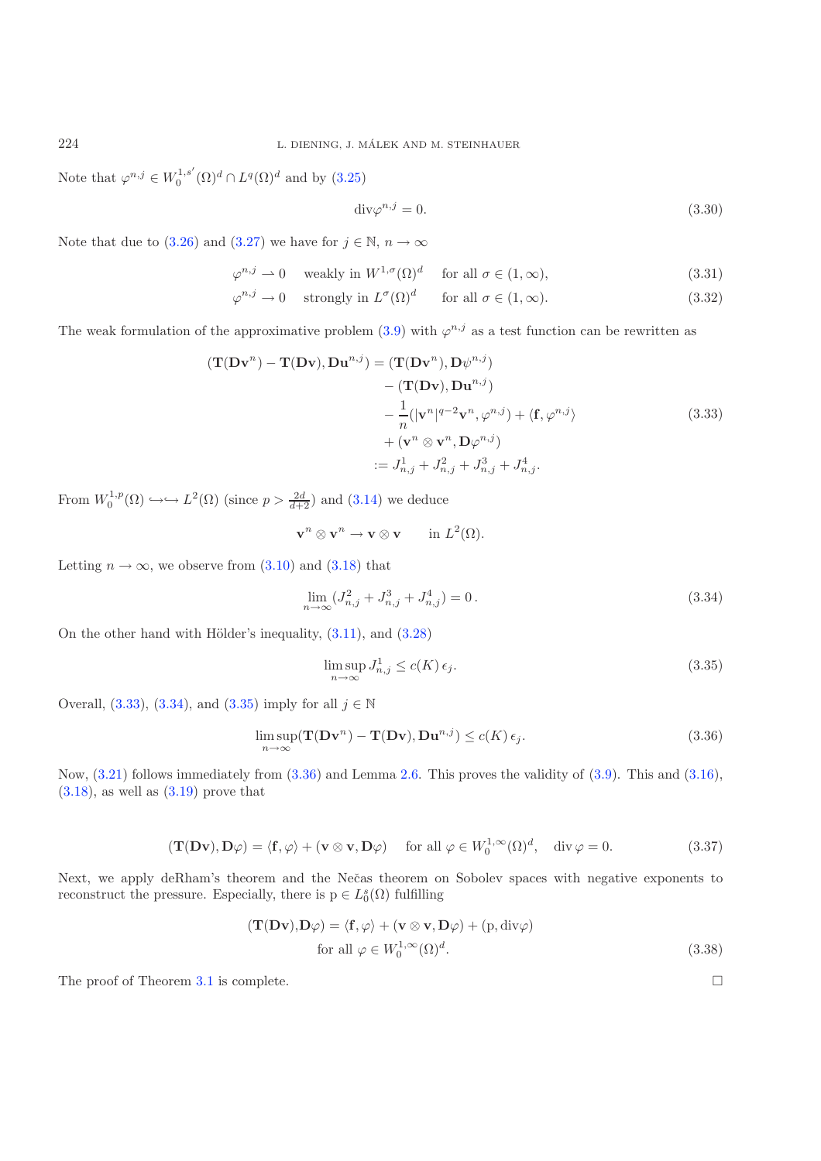Note that  $\varphi^{n,j} \in W_0^{1,s'}(\Omega)^d \cap L^q(\Omega)^d$  and by  $(3.25)$ 

<span id="page-13-1"></span><span id="page-13-0"></span>
$$
\operatorname{div}\varphi^{n,j} = 0.\tag{3.30}
$$

Note that due to [\(3.26\)](#page-12-0) and [\(3.27\)](#page-12-2) we have for  $j \in \mathbb{N}$ ,  $n \to \infty$ 

$$
\varphi^{n,j} \rightharpoonup 0 \quad \text{ weakly in } W^{1,\sigma}(\Omega)^d \quad \text{ for all } \sigma \in (1,\infty), \tag{3.31}
$$

 $\varphi^{n,j} \to 0$  strongly in  $L^{\sigma}(\Omega)^d$  for all  $\sigma \in (1,\infty)$ . (3.32)

The weak formulation of the approximative problem [\(3.9\)](#page-10-5) with  $\varphi^{n,j}$  as a test function can be rewritten as

$$
(\mathbf{T}(\mathbf{D}\mathbf{v}^n) - \mathbf{T}(\mathbf{D}\mathbf{v}), \mathbf{D}\mathbf{u}^{n,j}) = (\mathbf{T}(\mathbf{D}\mathbf{v}^n), \mathbf{D}\psi^{n,j})
$$
  
\n
$$
- (\mathbf{T}(\mathbf{D}\mathbf{v}), \mathbf{D}\mathbf{u}^{n,j})
$$
  
\n
$$
- \frac{1}{n} (|\mathbf{v}^n|^{q-2} \mathbf{v}^n, \varphi^{n,j}) + \langle \mathbf{f}, \varphi^{n,j} \rangle
$$
  
\n
$$
+ (\mathbf{v}^n \otimes \mathbf{v}^n, \mathbf{D}\varphi^{n,j})
$$
  
\n
$$
:= J_{n,j}^1 + J_{n,j}^2 + J_{n,j}^3 + J_{n,j}^4.
$$
\n(3.33)

From  $W_0^{1,p}(\Omega) \hookrightarrow \hookrightarrow L^2(\Omega)$  (since  $p > \frac{2d}{d+2}$ ) and [\(3.14\)](#page-11-2) we deduce

<span id="page-13-3"></span><span id="page-13-2"></span>
$$
\mathbf{v}^n \otimes \mathbf{v}^n \to \mathbf{v} \otimes \mathbf{v} \quad \text{in } L^2(\Omega).
$$

Letting  $n \to \infty$ , we observe from [\(3.10\)](#page-10-6) and [\(3.18\)](#page-11-3) that

$$
\lim_{n \to \infty} (J_{n,j}^2 + J_{n,j}^3 + J_{n,j}^4) = 0.
$$
\n(3.34)

On the other hand with Hölder's inequality,  $(3.11)$ , and  $(3.28)$ 

<span id="page-13-4"></span>
$$
\limsup_{n \to \infty} J_{n,j}^1 \le c(K) \epsilon_j.
$$
\n(3.35)

Overall,  $(3.33)$ ,  $(3.34)$ , and  $(3.35)$  imply for all  $j \in \mathbb{N}$ 

$$
\limsup_{n \to \infty} (\mathbf{T}(\mathbf{D} \mathbf{v}^n) - \mathbf{T}(\mathbf{D} \mathbf{v}), \mathbf{D} \mathbf{u}^{n,j}) \le c(K) \epsilon_j.
$$
\n(3.36)

Now, [\(3.21\)](#page-11-0) follows immediately from [\(3.36\)](#page-13-3) and Lemma [2.6.](#page-8-0) This proves the validity of [\(3.9\)](#page-10-5). This and [\(3.16\)](#page-11-4),  $(3.18)$ , as well as  $(3.19)$  prove that

$$
(\mathbf{T}(\mathbf{D}\mathbf{v}), \mathbf{D}\varphi) = \langle \mathbf{f}, \varphi \rangle + (\mathbf{v} \otimes \mathbf{v}, \mathbf{D}\varphi) \quad \text{ for all } \varphi \in W_0^{1, \infty}(\Omega)^d, \quad \text{div } \varphi = 0.
$$
 (3.37)

Next, we apply deRham's theorem and the Nečas theorem on Sobolev spaces with negative exponents to reconstruct the pressure. Especially, there is  $p \in L_0^s(\Omega)$  fulfilling

$$
(\mathbf{T}(\mathbf{D}\mathbf{v}), \mathbf{D}\varphi) = \langle \mathbf{f}, \varphi \rangle + (\mathbf{v} \otimes \mathbf{v}, \mathbf{D}\varphi) + (\mathbf{p}, \text{div}\varphi)
$$
  
for all  $\varphi \in W_0^{1, \infty}(\Omega)^d$ . (3.38)

The proof of Theorem [3.1](#page-10-0) is complete.  $\Box$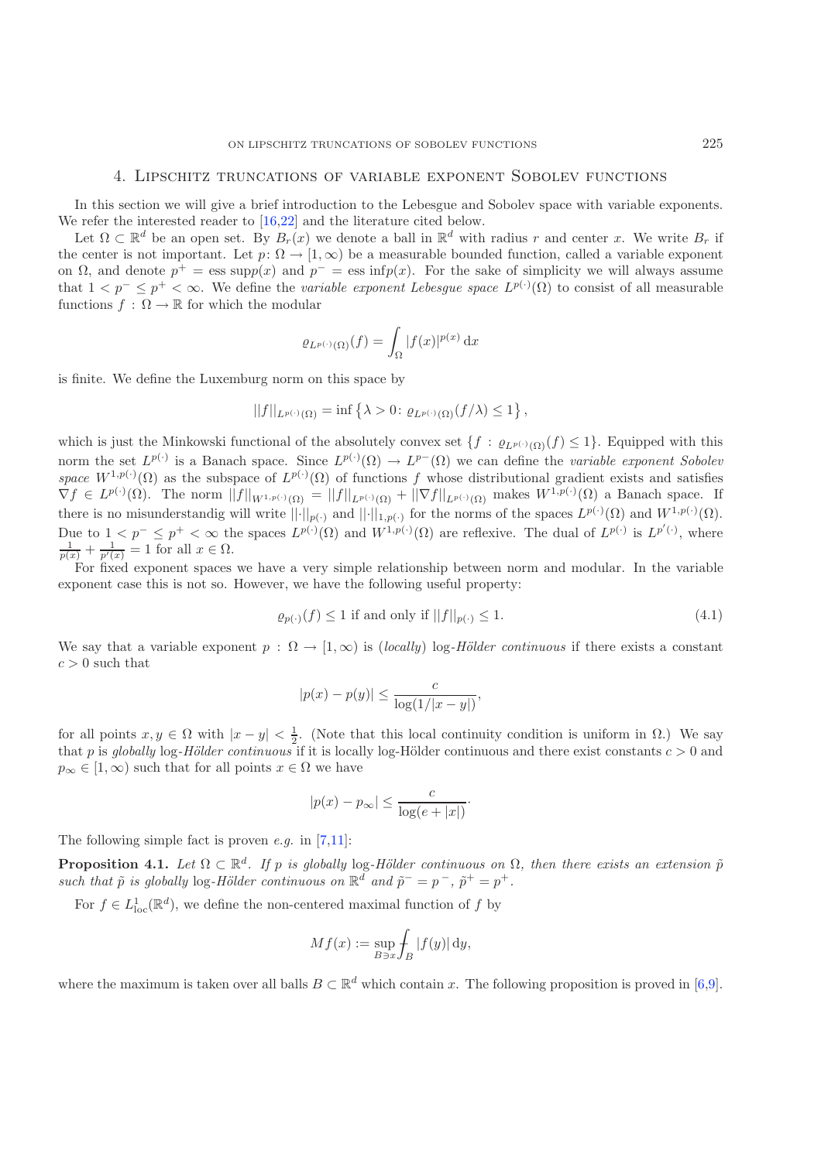### 4. Lipschitz truncations of variable exponent Sobolev functions

<span id="page-14-0"></span>In this section we will give a brief introduction to the Lebesgue and Sobolev space with variable exponents. We refer the interested reader to [\[16](#page-21-17)[,22](#page-21-18)] and the literature cited below.

Let  $\Omega \subset \mathbb{R}^d$  be an open set. By  $B_r(x)$  we denote a ball in  $\mathbb{R}^d$  with radius r and center x. We write  $B_r$  if the center is not important. Let  $p: \Omega \to [1,\infty)$  be a measurable bounded function, called a variable exponent on  $\Omega$ , and denote  $p^+ = \text{ess supp}(x)$  and  $p^- = \text{ess inf}(p(x))$ . For the sake of simplicity we will always assume that  $1 < p^- \leq p^+ < \infty$ . We define the *variable exponent Lebesgue space*  $L^{p(\cdot)}(\Omega)$  to consist of all measurable functions  $f : \Omega \to \mathbb{R}$  for which the modular

<span id="page-14-3"></span>
$$
\varrho_{L^{p(\cdot)}(\Omega)}(f) = \int_{\Omega} |f(x)|^{p(x)} dx
$$

is finite. We define the Luxemburg norm on this space by

$$
||f||_{L^{p(\cdot)}(\Omega)} = \inf \left\{ \lambda > 0 \colon \varrho_{L^{p(\cdot)}(\Omega)}(f/\lambda) \le 1 \right\},\,
$$

which is just the Minkowski functional of the absolutely convex set  $\{f : \varrho_{L^{p(\cdot)}(\Omega)}(f) \leq 1\}$ . Equipped with this norm the set  $L^{p(\cdot)}$  is a Banach space. Since  $L^{p(\cdot)}(\Omega) \to L^{p-}(\Omega)$  we can define the *variable exponent Sobolev space*  $W^{1,p(\cdot)}(\Omega)$  as the subspace of  $L^{p(\cdot)}(\Omega)$  of functions f whose distributional gradient exists and satisfies  $\nabla f \in L^{p(\cdot)}(\Omega)$ . The norm  $||f||_{W^{1,p(\cdot)}(\Omega)} = ||f||_{L^{p(\cdot)}(\Omega)} + ||\nabla f||_{L^{p(\cdot)}(\Omega)}$  makes  $W^{1,p(\cdot)}(\Omega)$  a Banach space. If there is no misunderstandig will write  $||\cdot||_{p(\cdot)}$  and  $||\cdot||_{1,p(\cdot)}$  for the norms of the spaces  $L^{p(\cdot)}(\Omega)$  and  $W^{1,p(\cdot)}(\Omega)$ . Due to  $1 < p^- \leq p^+ < \infty$  the spaces  $L^{p(\cdot)}(\Omega)$  and  $W^{1,p(\cdot)}(\Omega)$  are reflexive. The dual of  $L^{p(\cdot)}$  is  $L^{p'(\cdot)}$ , where  $\frac{1}{p(x)} + \frac{1}{p'(x)} = 1$  for all  $x \in \Omega$ .

For fixed exponent spaces we have a very simple relationship between norm and modular. In the variable exponent case this is not so. However, we have the following useful property:

$$
\varrho_{p(\cdot)}(f) \le 1 \text{ if and only if } ||f||_{p(\cdot)} \le 1. \tag{4.1}
$$

We say that a variable exponent  $p : \Omega \to [1,\infty)$  is (*locally*) log-Hölder continuous if there exists a constant  $c > 0$  such that

$$
|p(x) - p(y)| \le \frac{c}{\log(1/|x - y|)},
$$

for all points  $x, y \in \Omega$  with  $|x - y| < \frac{1}{2}$ . (Note that this local continuity condition is uniform in  $\Omega$ .) We say that p is globally log-Hölder continuous if it is locally log-Hölder continuous and there exist constants  $c > 0$  and  $p_{\infty} \in [1, \infty)$  such that for all points  $x \in \Omega$  we have

$$
|p(x) - p_{\infty}| \le \frac{c}{\log(e + |x|)}.
$$

<span id="page-14-1"></span>The following simple fact is proven *e.g.* in [\[7](#page-20-6)[,11\]](#page-20-7):

**Proposition 4.1.** *Let*  $\Omega \subset \mathbb{R}^d$ . *If* p *is globally* log-Hölder continuous on  $\Omega$ , then there exists an extension  $\tilde{p}$ *such that*  $\tilde{p}$  *is globally* log-*Hölder continuous on*  $\mathbb{R}^d$  *and*  $\tilde{p}^- = p^-$ ,  $\tilde{p}^+ = p^+$ .

For  $f \in L^1_{loc}(\mathbb{R}^d)$ , we define the non-centered maximal function of f by

$$
Mf(x) := \sup_{B \ni x} \int_B |f(y)| \, \mathrm{d}y,
$$

<span id="page-14-2"></span>where the maximum is taken over all balls  $B \subset \mathbb{R}^d$  which contain x. The following proposition is proved in [\[6](#page-20-8)[,9\]](#page-20-9).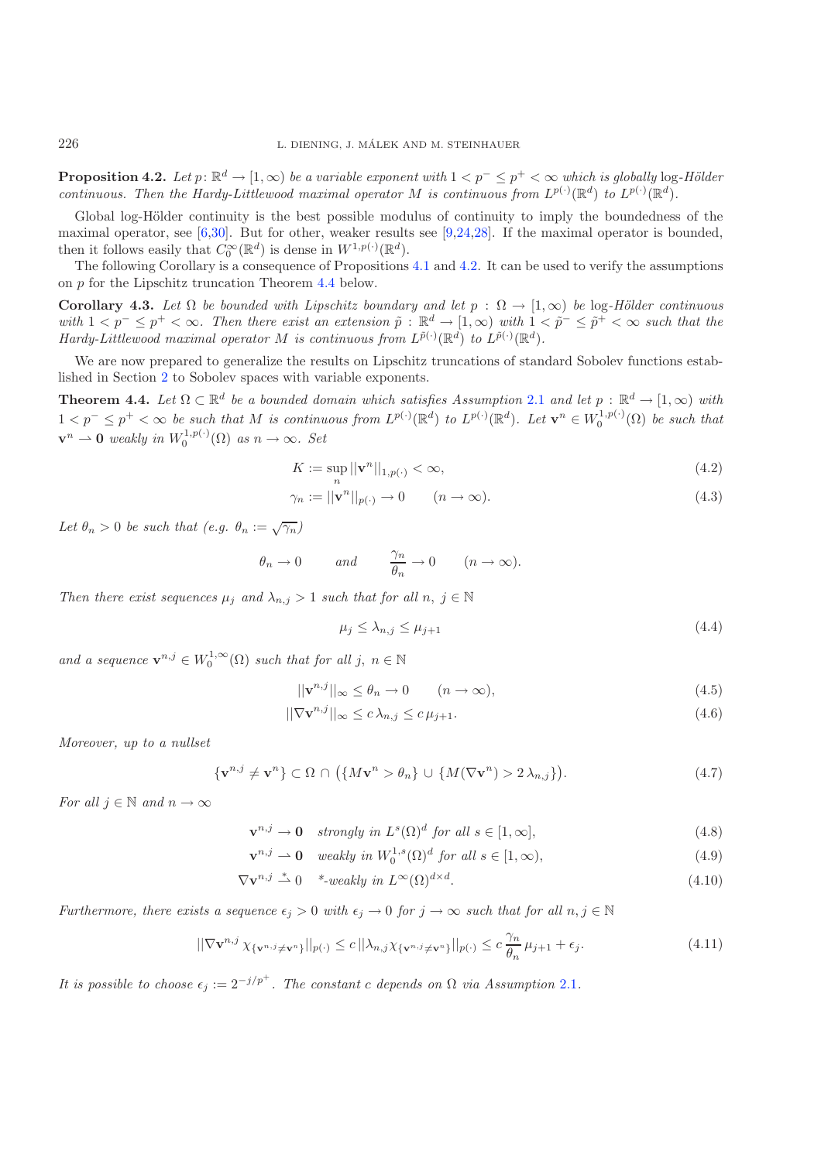**Proposition 4.2.** *Let*  $p: \mathbb{R}^d \to [1, \infty)$  *be a variable exponent with*  $1 < p^- \leq p^+ < \infty$  *which is globally* log-*Hölder continuous. Then the Hardy-Littlewood maximal operator* M *is continuous from*  $L^{p(\cdot)}(\mathbb{R}^d)$  *to*  $L^{p(\cdot)}(\mathbb{R}^d)$ *.* 

Global log-Hölder continuity is the best possible modulus of continuity to imply the boundedness of the maximal operator, see [\[6](#page-20-8)[,30](#page-21-19)]. But for other, weaker results see [\[9](#page-20-9)[,24](#page-21-20)[,28\]](#page-21-21). If the maximal operator is bounded, then it follows easily that  $C_0^{\infty}(\mathbb{R}^d)$  is dense in  $W^{1,p(\cdot)}(\mathbb{R}^d)$ .

<span id="page-15-6"></span>The following Corollary is a consequence of Propositions [4.1](#page-14-1) and [4.2.](#page-14-2) It can be used to verify the assumptions on p for the Lipschitz truncation Theorem [4.4](#page-15-0) below.

**Corollary 4.3.** *Let*  $\Omega$  *be bounded with Lipschitz boundary and let*  $p : \Omega \to [1, \infty)$  *be* log-Hölder continuous *with*  $1 < p^- \leq p^+ < \infty$ . Then there exist an extension  $\tilde{p}$  :  $\mathbb{R}^d \to [1,\infty)$  *with*  $1 < \tilde{p}^- \leq \tilde{p}^+ < \infty$  such that the *Hardy-Littlewood maximal operator* M *is continuous from*  $L^{\tilde{p}(\cdot)}(\mathbb{R}^d)$  *to*  $L^{\tilde{p}(\cdot)}(\mathbb{R}^d)$ *.* 

<span id="page-15-0"></span>We are now prepared to generalize the results on Lipschitz truncations of standard Sobolev functions established in Section [2](#page-2-0) to Sobolev spaces with variable exponents.

**Theorem 4.4.** *Let*  $\Omega \subset \mathbb{R}^d$  *be a bounded domain which satisfies Assumption* [2.1](#page-2-3) *and let*  $p : \mathbb{R}^d \to [1, \infty)$  *with*  $1 < p^- \leq p^+ < \infty$  be such that M is continuous from  $L^{p(\cdot)}(\mathbb{R}^d)$  to  $L^{p(\cdot)}(\mathbb{R}^d)$ . Let  $\mathbf{v}^n \in W_0^{1,p(\cdot)}(\Omega)$  be such that  $\mathbf{v}^n \rightharpoonup \mathbf{0}$  weakly in  $W_0^{1,p(\cdot)}(\Omega)$  as  $n \to \infty$ . Set

<span id="page-15-2"></span><span id="page-15-1"></span>
$$
K := \sup_{n} ||\mathbf{v}^{n}||_{1, p(\cdot)} < \infty,
$$
\n(4.2)

$$
\gamma_n := ||\mathbf{v}^n||_{p(\cdot)} \to 0 \qquad (n \to \infty). \tag{4.3}
$$

Let  $\theta_n > 0$  be such that  $(e.g. \theta_n := \sqrt{\gamma_n})$ 

$$
\theta_n \to 0
$$
 and  $\frac{\gamma_n}{\theta_n} \to 0$   $(n \to \infty)$ .

*Then there exist sequences*  $\mu_j$  *and*  $\lambda_{n,j} > 1$  *such that for all*  $n, j \in \mathbb{N}$ 

<span id="page-15-5"></span><span id="page-15-4"></span><span id="page-15-3"></span>
$$
\mu_j \le \lambda_{n,j} \le \mu_{j+1} \tag{4.4}
$$

*and a sequence*  $\mathbf{v}^{n,j} \in W_0^{1,\infty}(\Omega)$  *such that for all j, n*  $\in \mathbb{N}$ 

$$
||\mathbf{v}^{n,j}||_{\infty} \le \theta_n \to 0 \qquad (n \to \infty), \tag{4.5}
$$

$$
\|\nabla \mathbf{v}^{n,j}\|_{\infty} \le c \,\lambda_{n,j} \le c \,\mu_{j+1}.\tag{4.6}
$$

*Moreover, up to a nullset*

$$
\{\mathbf v^{n,j} \neq \mathbf v^n\} \subset \Omega \cap (\{M\mathbf v^n > \theta_n\} \cup \{M(\nabla \mathbf v^n) > 2\lambda_{n,j}\}).\tag{4.7}
$$

*For all*  $j \in \mathbb{N}$  *and*  $n \to \infty$ 

 $\mathbf{v}^{n,j} \to \mathbf{0}$  *strongly in*  $L^s(\Omega)^d$  *for all*  $s \in [1,\infty]$ , (4.8)

$$
\mathbf{v}^{n,j} \rightharpoonup \mathbf{0} \quad weakly \ in \ W_0^{1,s}(\Omega)^d \ for \ all \ s \in [1,\infty), \tag{4.9}
$$

$$
\nabla \mathbf{v}^{n,j} \stackrel{*}{\rightharpoonup} 0 \quad * \text{-weakly in } L^{\infty}(\Omega)^{d \times d}.
$$
\n(4.10)

*Furthermore, there exists a sequence*  $\epsilon_j > 0$  *with*  $\epsilon_j \to 0$  *for*  $j \to \infty$  *such that for all*  $n, j \in \mathbb{N}$ 

$$
||\nabla \mathbf{v}^{n,j} \chi_{\{\mathbf{v}^{n,j}\neq \mathbf{v}^n\}}||_{p(\cdot)} \le c ||\lambda_{n,j} \chi_{\{\mathbf{v}^{n,j}\neq \mathbf{v}^n\}}||_{p(\cdot)} \le c \frac{\gamma_n}{\theta_n} \mu_{j+1} + \epsilon_j.
$$
 (4.11)

*It is possible to choose*  $\epsilon_j := 2^{-j/p^+}$ *. The constant c depends on*  $\Omega$  *via Assumption* [2.1](#page-2-3)*.*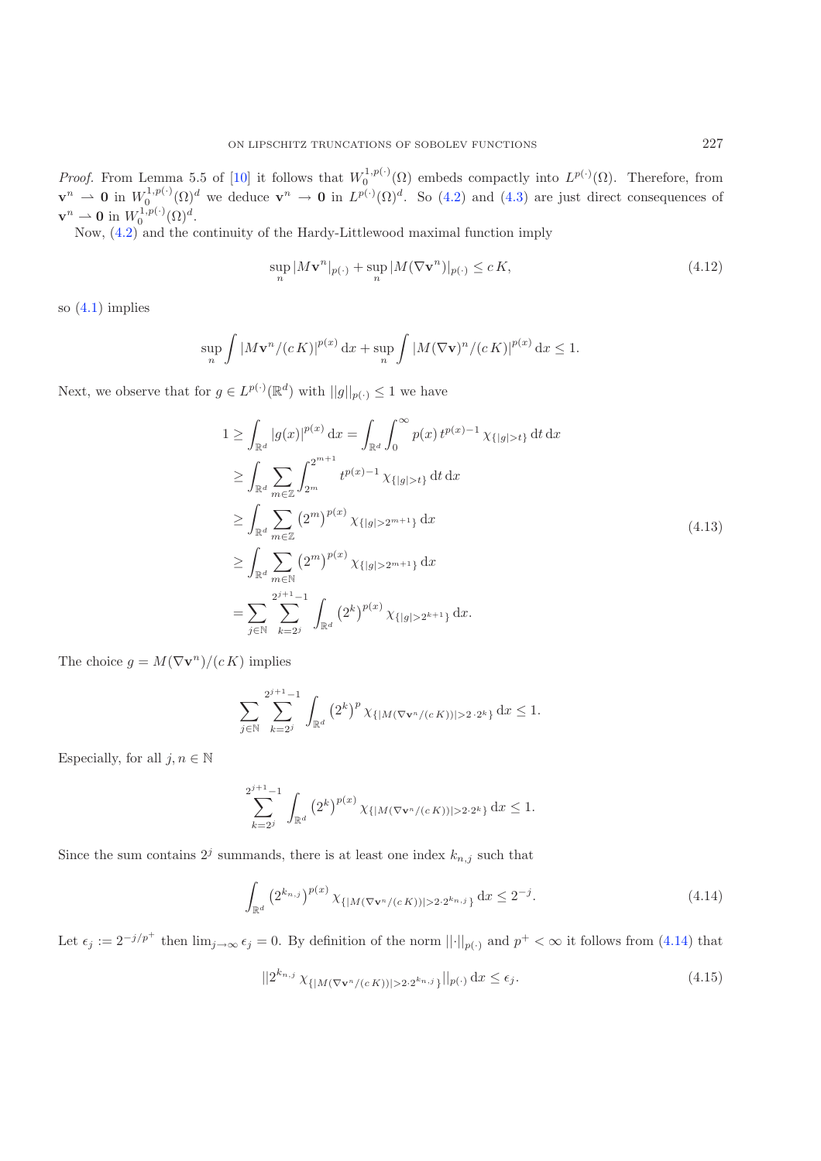*Proof.* From Lemma 5.5 of [\[10](#page-20-10)] it follows that  $W_0^{1,p(\cdot)}(\Omega)$  embeds compactly into  $L^{p(\cdot)}(\Omega)$ . Therefore, from  $\mathbf{v}^n \to \mathbf{0}$  in  $W_0^{1,p(\cdot)}(\Omega)^d$  we deduce  $\mathbf{v}^n \to \mathbf{0}$  in  $L^{p(\cdot)}(\Omega)^d$ . So [\(4.2\)](#page-15-1) and [\(4.3\)](#page-15-2) are just direct consequences of  $\mathbf{v}^n \rightharpoonup \mathbf{0}$  in  $W_0^{1,p(\cdot)}(\Omega)^d$ .

Now, [\(4.2\)](#page-15-1) and the continuity of the Hardy-Littlewood maximal function imply

$$
\sup_{n} |M\mathbf{v}^{n}|_{p(\cdot)} + \sup_{n} |M(\nabla \mathbf{v}^{n})|_{p(\cdot)} \le c K,
$$
\n(4.12)

so [\(4.1\)](#page-14-3) implies

$$
\sup_{n}\int |M\mathbf{v}^{n}/(c K)|^{p(x)} dx + \sup_{n}\int |M(\nabla \mathbf{v})^{n}/(c K)|^{p(x)} dx \leq 1.
$$

Next, we observe that for  $g \in L^{p(\cdot)}(\mathbb{R}^d)$  with  $||g||_{p(\cdot)} \leq 1$  we have

$$
1 \geq \int_{\mathbb{R}^d} |g(x)|^{p(x)} dx = \int_{\mathbb{R}^d} \int_0^{\infty} p(x) t^{p(x)-1} \chi_{\{|g|>t\}} dt dx
$$
  
\n
$$
\geq \int_{\mathbb{R}^d} \sum_{m \in \mathbb{Z}} \int_{2^m}^{2^{m+1}} t^{p(x)-1} \chi_{\{|g|>t\}} dt dx
$$
  
\n
$$
\geq \int_{\mathbb{R}^d} \sum_{m \in \mathbb{Z}} (2^m)^{p(x)} \chi_{\{|g|>2^{m+1}\}} dx
$$
  
\n
$$
\geq \int_{\mathbb{R}^d} \sum_{m \in \mathbb{N}} (2^m)^{p(x)} \chi_{\{|g|>2^{m+1}\}} dx
$$
  
\n
$$
= \sum_{j \in \mathbb{N}} \sum_{k=2^j}^{2^{j+1}-1} \int_{\mathbb{R}^d} (2^k)^{p(x)} \chi_{\{|g|>2^{k+1}\}} dx.
$$
\n(4.13)

The choice  $g = M(\nabla \mathbf{v}^n)/(c K)$  implies

<span id="page-16-0"></span>
$$
\sum_{j \in \mathbb{N}} \sum_{k=2^j}^{2^{j+1}-1} \int_{\mathbb{R}^d} \left(2^k\right)^p \chi_{\{|M(\nabla \mathbf{v}^n/(c K))| > 2 \cdot 2^k\}} \, \mathrm{d}x \le 1.
$$

Especially, for all  $j, n \in \mathbb{N}$ 

<span id="page-16-1"></span>
$$
\sum_{k=2^j}^{2^{j+1}-1} \int_{\mathbb{R}^d} \left(2^k\right)^{p(x)} \chi_{\{|M(\nabla \mathbf{v}^n/(c K))|>2\cdot 2^k\}} \, \mathrm{d}x \le 1.
$$

Since the sum contains  $2^j$  summands, there is at least one index  $k_{n,j}$  such that

$$
\int_{\mathbb{R}^d} \left( 2^{k_{n,j}} \right)^{p(x)} \chi_{\{|M(\nabla \mathbf{v}^n/(c\, K))| > 2 \cdot 2^{k_{n,j}}\}} \, \mathrm{d}x \le 2^{-j}.\tag{4.14}
$$

Let  $\epsilon_j := 2^{-j/p^+}$  then  $\lim_{j\to\infty} \epsilon_j = 0$ . By definition of the norm  $||\cdot||_{p(\cdot)}$  and  $p^+ < \infty$  it follows from [\(4.14\)](#page-16-0) that

$$
||2^{k_{n,j}} \chi_{\{|M(\nabla \mathbf{v}^n/(cK))|>2 \cdot 2^{k_{n,j}}\}}||_{p(\cdot)} \,dx \le \epsilon_j.
$$
\n(4.15)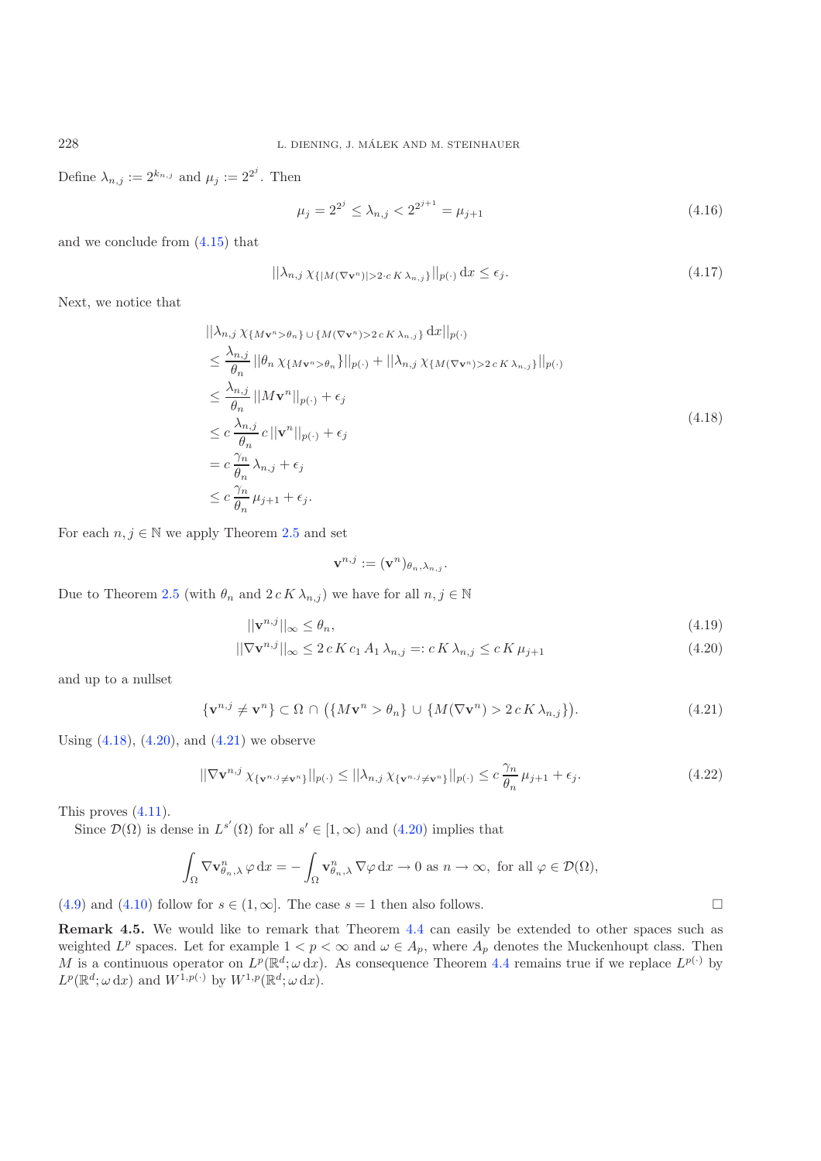Define  $\lambda_{n,j} := 2^{k_{n,j}}$  and  $\mu_j := 2^{2^j}$ . Then

<span id="page-17-0"></span>
$$
\mu_j = 2^{2^j} \le \lambda_{n,j} < 2^{2^{j+1}} = \mu_{j+1} \tag{4.16}
$$

and we conclude from [\(4.15\)](#page-16-1) that

$$
||\lambda_{n,j}\chi_{\{|M(\nabla \mathbf{v}^n)|>2\cdot c\,K\,\lambda_{n,j}\}}||_{p(\cdot)}\,\mathrm{d}x\leq\epsilon_j.\tag{4.17}
$$

Next, we notice that

$$
||\lambda_{n,j} \chi_{\{M\mathbf{v}^n > \theta_n\}} \cup \{M(\nabla \mathbf{v}^n) > 2 c K \lambda_{n,j}\} \, dx||_{p(\cdot)}
$$
  
\n
$$
\leq \frac{\lambda_{n,j}}{\theta_n} ||\theta_n \chi_{\{M\mathbf{v}^n > \theta_n\}}||_{p(\cdot)} + ||\lambda_{n,j} \chi_{\{M(\nabla \mathbf{v}^n) > 2 c K \lambda_{n,j}\}}||_{p(\cdot)}
$$
  
\n
$$
\leq \frac{\lambda_{n,j}}{\theta_n} ||M\mathbf{v}^n||_{p(\cdot)} + \epsilon_j
$$
  
\n
$$
\leq c \frac{\lambda_{n,j}}{\theta_n} c ||\mathbf{v}^n||_{p(\cdot)} + \epsilon_j
$$
  
\n
$$
= c \frac{\gamma_n}{\theta_n} \lambda_{n,j} + \epsilon_j
$$
  
\n
$$
\leq c \frac{\gamma_n}{\theta_n} \mu_{j+1} + \epsilon_j.
$$
  
\n(4.18)

For each  $n, j \in \mathbb{N}$  we apply Theorem [2.5](#page-5-0) and set

<span id="page-17-2"></span><span id="page-17-1"></span>
$$
\mathbf{v}^{n,j} := (\mathbf{v}^n)_{\theta_n, \lambda_{n,j}}.
$$

Due to Theorem [2.5](#page-5-0) (with  $\theta_n$  and  $2 c K \lambda_{n,j}$ ) we have for all  $n, j \in \mathbb{N}$ 

$$
||\mathbf{v}^{n,j}||_{\infty} \le \theta_n,\tag{4.19}
$$

$$
\|\nabla \mathbf{v}^{n,j}\|_{\infty} \le 2 c K c_1 A_1 \lambda_{n,j} =: c K \lambda_{n,j} \le c K \mu_{j+1}
$$
\n(4.20)

and up to a nullset

$$
\{\mathbf v^{n,j} \neq \mathbf v^n\} \subset \Omega \cap (\{M\mathbf v^n > \theta_n\} \cup \{M(\nabla \mathbf v^n) > 2cK\lambda_{n,j}\}).\tag{4.21}
$$

Using  $(4.18)$ ,  $(4.20)$ , and  $(4.21)$  we observe

$$
||\nabla \mathbf{v}^{n,j} \chi_{\{\mathbf{v}^{n,j}\neq \mathbf{v}^n\}}||_{p(\cdot)} \leq ||\lambda_{n,j} \chi_{\{\mathbf{v}^{n,j}\neq \mathbf{v}^n\}}||_{p(\cdot)} \leq c \frac{\gamma_n}{\theta_n} \mu_{j+1} + \epsilon_j.
$$
 (4.22)

This proves [\(4.11\)](#page-15-3).

Since  $\mathcal{D}(\Omega)$  is dense in  $L^{s'}(\Omega)$  for all  $s' \in [1,\infty)$  and  $(4.20)$  implies that

$$
\int_{\Omega} \nabla \mathbf{v}_{\theta_n,\lambda}^n \,\varphi \,dx = -\int_{\Omega} \mathbf{v}_{\theta_n,\lambda}^n \,\nabla \varphi \,dx \to 0 \text{ as } n \to \infty, \text{ for all } \varphi \in \mathcal{D}(\Omega),
$$

[\(4.9\)](#page-15-4) and [\(4.10\)](#page-15-5) follow for  $s \in (1,\infty]$ . The case  $s = 1$  then also follows.

**Remark 4.5.** We would like to remark that Theorem [4.4](#page-15-0) can easily be extended to other spaces such as weighted  $L^p$  spaces. Let for example  $1 < p < \infty$  and  $\omega \in A_p$ , where  $A_p$  denotes the Muckenhoupt class. Then M is a continuous operator on  $L^p(\mathbb{R}^d; \omega \, dx)$ . As consequence Theorem [4.4](#page-15-0) remains true if we replace  $L^{p(\cdot)}$  by  $L^p(\mathbb{R}^d; \omega \, dx)$  and  $W^{1,p(\cdot)}$  by  $W^{1,p}(\mathbb{R}^d; \omega \, dx)$ .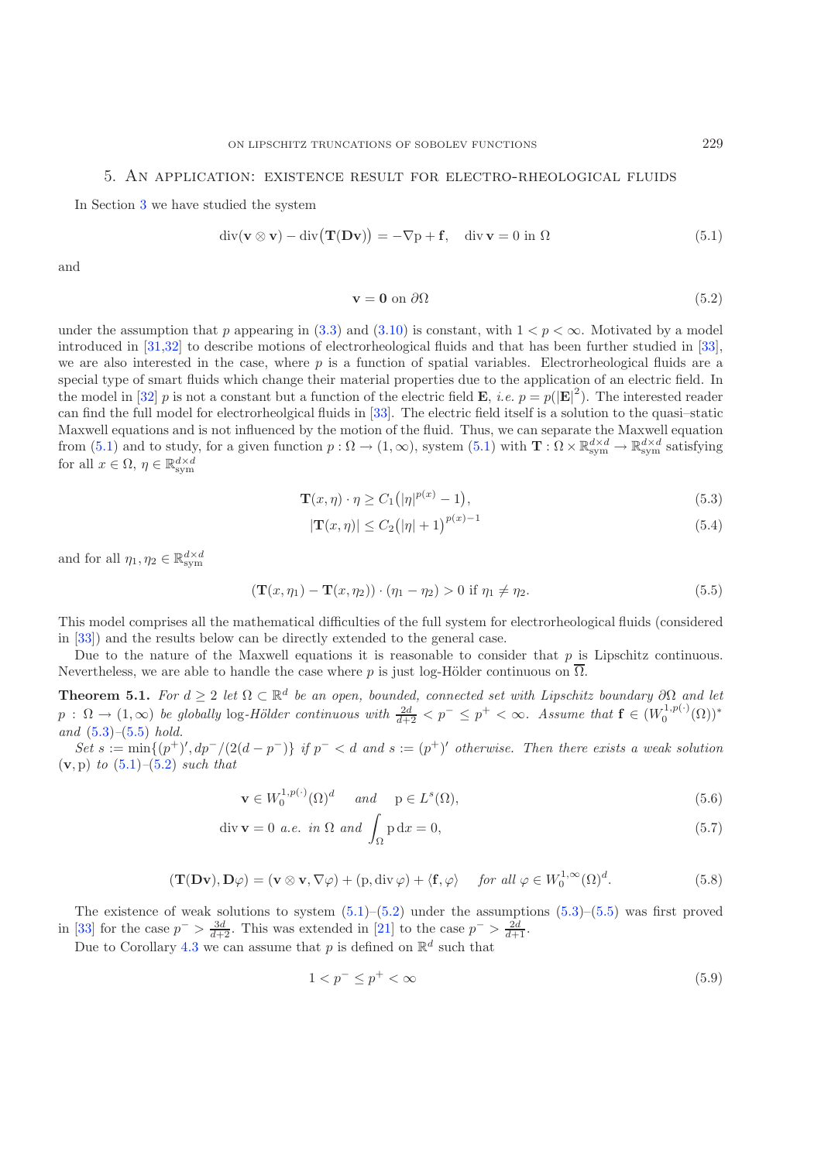#### 5. An application: existence result for electro-rheological fluids

<span id="page-18-0"></span>In Section [3](#page-9-0) we have studied the system

$$
\operatorname{div}(\mathbf{v} \otimes \mathbf{v}) - \operatorname{div}(\mathbf{T}(\mathbf{D}\mathbf{v})) = -\nabla p + \mathbf{f}, \quad \operatorname{div}\mathbf{v} = 0 \text{ in } \Omega \tag{5.1}
$$

and

<span id="page-18-5"></span><span id="page-18-4"></span><span id="page-18-3"></span><span id="page-18-2"></span>
$$
\mathbf{v} = \mathbf{0} \text{ on } \partial \Omega \tag{5.2}
$$

under the assumption that p appearing in [\(3.3\)](#page-10-1) and [\(3.10\)](#page-10-6) is constant, with  $1 < p < \infty$ . Motivated by a model introduced in [\[31](#page-21-22)[,32\]](#page-21-23) to describe motions of electrorheological fluids and that has been further studied in [\[33\]](#page-21-24), we are also interested in the case, where  $p$  is a function of spatial variables. Electrorheological fluids are a special type of smart fluids which change their material properties due to the application of an electric field. In the model in [\[32\]](#page-21-23) p is not a constant but a function of the electric field **E**, *i.e.*  $p = p(|\mathbf{E}|^2)$ . The interested reader can find the full model for electrorheolgical fluids in [\[33\]](#page-21-24). The electric field itself is a solution to the quasi–static Maxwell equations and is not influenced by the motion of the fluid. Thus, we can separate the Maxwell equation from  $(5.1)$  and to study, for a given function  $p: \Omega \to (1, \infty)$ , system  $(5.1)$  with  $\mathbf{T}: \Omega \times \mathbb{R}^{d \times d}_{\text{sym}} \to \mathbb{R}^{d \times d}_{\text{sym}}$  satisfying for all  $x \in \Omega$ ,  $\eta \in \mathbb{R}^{d \times d}_{\text{sym}}$ 

$$
\mathbf{T}(x,\eta) \cdot \eta \ge C_1 \big( |\eta|^{p(x)} - 1 \big),\tag{5.3}
$$

$$
|\mathbf{T}(x,\eta)| \le C_2 \big(|\eta| + 1\big)^{p(x) - 1} \tag{5.4}
$$

and for all  $\eta_1, \eta_2 \in \mathbb{R}^{d \times d}_{\text{sym}}$ 

$$
(\mathbf{T}(x,\eta_1) - \mathbf{T}(x,\eta_2)) \cdot (\eta_1 - \eta_2) > 0 \text{ if } \eta_1 \neq \eta_2. \tag{5.5}
$$

This model comprises all the mathematical difficulties of the full system for electrorheological fluids (considered in [\[33\]](#page-21-24)) and the results below can be directly extended to the general case.

<span id="page-18-1"></span>Due to the nature of the Maxwell equations it is reasonable to consider that  $p$  is Lipschitz continuous. Nevertheless, we are able to handle the case where p is just log-Hölder continuous on  $\overline{\Omega}$ .

**Theorem 5.1.** *For*  $d \geq 2$  *let*  $\Omega \subset \mathbb{R}^d$  *be an open, bounded, connected set with Lipschitz boundary*  $\partial \Omega$  *and let*  $p : \Omega \to (1,\infty)$  be globally log-Hölder continuous with  $\frac{2d}{d+2} < p^- \leq p^+ < \infty$ . Assume that  $\mathbf{f} \in (W_0^{1,p(\cdot)}(\Omega))^*$ *and* [\(5.3\)](#page-18-3)*–*[\(5.5\)](#page-18-4) *hold.*

 $Set s := min\{(p^+)'$ ,  $dp^-/(2(d-p^-)\}$  *if*  $p^- < d$  *and*  $s := (p^+)'$  *otherwise. Then there exists a weak solution* (**v**, p) *to* [\(5.1\)](#page-18-2)*–*[\(5.2\)](#page-18-5) *such that*

$$
\mathbf{v} \in W_0^{1,p(\cdot)}(\Omega)^d \quad \text{and} \quad \mathbf{p} \in L^s(\Omega), \tag{5.6}
$$

$$
\text{div}\,\mathbf{v} = 0 \text{ a.e. in } \Omega \text{ and } \int_{\Omega} \mathbf{p} \, \mathrm{d}x = 0,\tag{5.7}
$$

$$
(\mathbf{T}(\mathbf{D}\mathbf{v}), \mathbf{D}\varphi) = (\mathbf{v} \otimes \mathbf{v}, \nabla \varphi) + (\mathbf{p}, \text{div}\,\varphi) + \langle \mathbf{f}, \varphi \rangle \quad \text{for all } \varphi \in W_0^{1, \infty}(\Omega)^d. \tag{5.8}
$$

The existence of weak solutions to system  $(5.1)$ – $(5.2)$  under the assumptions  $(5.3)$ – $(5.5)$  was first proved in [\[33\]](#page-21-24) for the case  $p^{-} > \frac{3d}{d+2}$ . This was extended in [\[21\]](#page-21-25) to the case  $p^{-} > \frac{2d}{d+1}$ .

Due to Corollary [4.3](#page-15-6) we can assume that p is defined on  $\mathbb{R}^d$  such that

<span id="page-18-6"></span>
$$
1 < p^- \le p^+ < \infty \tag{5.9}
$$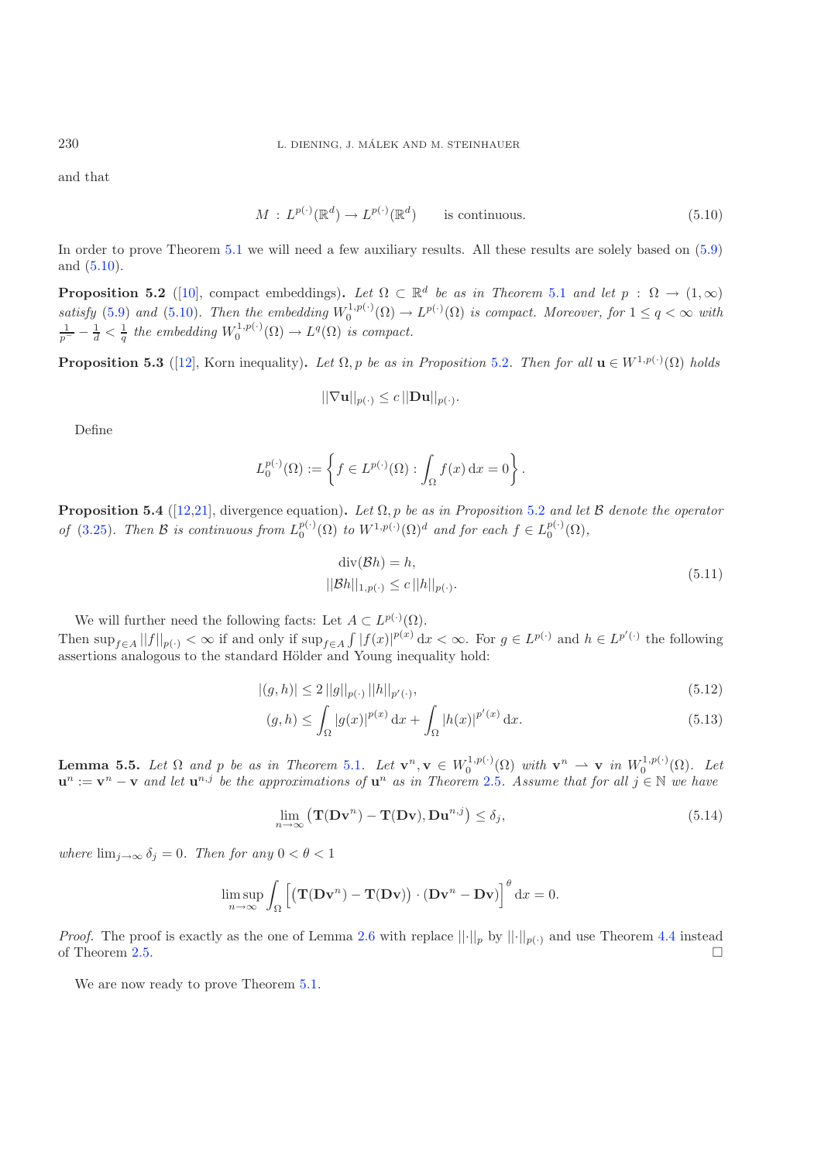and that

<span id="page-19-0"></span>
$$
M: L^{p(\cdot)}(\mathbb{R}^d) \to L^{p(\cdot)}(\mathbb{R}^d) \quad \text{is continuous.} \tag{5.10}
$$

<span id="page-19-1"></span>In order to prove Theorem [5.1](#page-18-1) we will need a few auxiliary results. All these results are solely based on [\(5.9\)](#page-18-6) and [\(5.10\)](#page-19-0).

**Proposition 5.2** ([\[10\]](#page-20-10), compact embeddings). Let  $\Omega \subset \mathbb{R}^d$  be as in Theorem [5.1](#page-18-1) and let  $p : \Omega \to (1,\infty)$ satisfy [\(5.9\)](#page-18-6) and [\(5.10\)](#page-19-0). Then the embedding  $W_0^{1,p(\cdot)}(\Omega) \to L^{p(\cdot)}(\Omega)$  is compact. Moreover, for  $1 \le q < \infty$  with  $\frac{1}{p^-} - \frac{1}{d} < \frac{1}{q}$  the embedding  $W_0^{1,p(\cdot)}(\Omega) \to L^q(\Omega)$  is compact.

<span id="page-19-2"></span>**Proposition 5.3** ([\[12](#page-20-11)], Korn inequality). Let  $\Omega$ , p be as in Proposition [5.2](#page-19-1). Then for all  $\mathbf{u} \in W^{1,p(\cdot)}(\Omega)$  holds

$$
||\nabla \mathbf{u}||_{p(\cdot)} \leq c ||\mathbf{D}\mathbf{u}||_{p(\cdot)}.
$$

Define

$$
L_0^{p(\cdot)}(\Omega) := \left\{ f \in L^{p(\cdot)}(\Omega) : \int_{\Omega} f(x) dx = 0 \right\}.
$$

<span id="page-19-3"></span>**Proposition 5.4** ([\[12](#page-20-11)[,21\]](#page-21-25), divergence equation)**.** *Let* Ω, p *be as in Proposition* [5.2](#page-19-1) *and let* B *denote the operator of* [\(3.25\)](#page-12-1)*. Then*  $\mathcal{B}$  *is continuous from*  $L_0^{p(\cdot)}(\Omega)$  *to*  $W^{1,p(\cdot)}(\Omega)^d$  *and for each*  $f \in L_0^{p(\cdot)}(\Omega)$ *,* 

<span id="page-19-5"></span><span id="page-19-4"></span>
$$
\operatorname{div}(\mathcal{B}h) = h,
$$
  
 
$$
||\mathcal{B}h||_{1,p(\cdot)} \le c ||h||_{p(\cdot)}.
$$
 (5.11)

We will further need the following facts: Let  $A \subset L^{p(\cdot)}(\Omega)$ . Then  $\sup_{f\in A}||f||_{p(\cdot)} < \infty$  if and only if  $\sup_{f\in A} \int |f(x)|^{p(x)} dx < \infty$ . For  $g \in L^{p(\cdot)}$  and  $h \in L^{p'(\cdot)}$  the following assertions analogous to the standard Hölder and Young inequality hold:

$$
|(g,h)| \le 2||g||_{p(\cdot)}||h||_{p'(\cdot)},\tag{5.12}
$$

$$
(g,h) \le \int_{\Omega} |g(x)|^{p(x)} dx + \int_{\Omega} |h(x)|^{p'(x)} dx.
$$
 (5.13)

<span id="page-19-6"></span>**Lemma 5.5.** Let  $\Omega$  and  $p$  be as in Theorem [5.1](#page-18-1). Let  $\mathbf{v}^n, \mathbf{v} \in W_0^{1,p(\cdot)}(\Omega)$  with  $\mathbf{v}^n \to \mathbf{v}$  in  $W_0^{1,p(\cdot)}(\Omega)$ . Let  $\mathbf{u}^n := \mathbf{v}^n - \mathbf{v}$  and let  $\mathbf{u}^{n,j}$  be the approximations of  $\mathbf{u}^n$  as in Theorem [2.5](#page-5-0). Assume that for all  $j \in \mathbb{N}$  we have

$$
\lim_{n \to \infty} \left( \mathbf{T}(\mathbf{D} \mathbf{v}^n) - \mathbf{T}(\mathbf{D} \mathbf{v}), \mathbf{D} \mathbf{u}^{n,j} \right) \le \delta_j,
$$
\n(5.14)

*where*  $\lim_{j\to\infty} \delta_j = 0$ *. Then for any*  $0 < \theta < 1$ 

$$
\limsup_{n \to \infty} \int_{\Omega} \left[ \left( \mathbf{T}(\mathbf{D} \mathbf{v}^n) - \mathbf{T}(\mathbf{D} \mathbf{v}) \right) \cdot (\mathbf{D} \mathbf{v}^n - \mathbf{D} \mathbf{v}) \right]^\theta \mathrm{d}x = 0.
$$

*Proof.* The proof is exactly as the one of Lemma [2.6](#page-8-0) with replace  $||\cdot||_p$  by  $||\cdot||_{p(\cdot)}$  and use Theorem [4.4](#page-15-0) instead of Theorem [2.5.](#page-5-0)

We are now ready to prove Theorem  $5.1$ .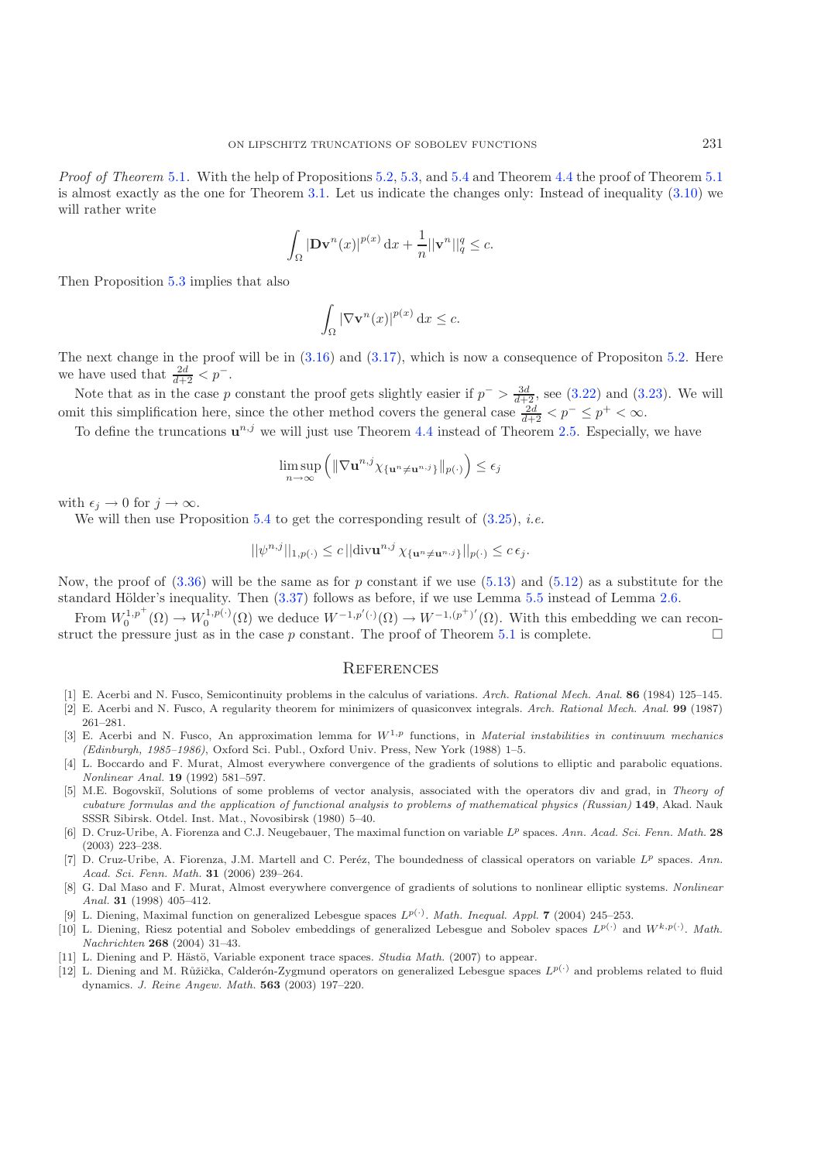*Proof of Theorem* [5.1](#page-18-1). With the help of Propositions [5.2,](#page-19-1) [5.3,](#page-19-2) and [5.4](#page-19-3) and Theorem [4.4](#page-15-0) the proof of Theorem 5.1 is almost exactly as the one for Theorem [3.1.](#page-10-0) Let us indicate the changes only: Instead of inequality [\(3.10\)](#page-10-6) we will rather write

$$
\int_{\Omega} |\mathbf{D} \mathbf{v}^n(x)|^{p(x)} \, \mathrm{d}x + \frac{1}{n} ||\mathbf{v}^n||_q^q \le c.
$$

Then Proposition [5.3](#page-19-2) implies that also

$$
\int_{\Omega} |\nabla \mathbf{v}^n(x)|^{p(x)} \, \mathrm{d}x \leq c.
$$

The next change in the proof will be in  $(3.16)$  and  $(3.17)$ , which is now a consequence of Propositon [5.2.](#page-19-1) Here we have used that  $\frac{2d}{d+2} < p^-$ .

Note that as in the case p constant the proof gets slightly easier if  $p^- > \frac{3d}{d+2}$ , see [\(3.22\)](#page-11-1) and [\(3.23\)](#page-11-7). We will omit this simplification here, since the other method covers the general case  $\frac{2d}{d+2} < p^- \leq p^+ < \infty$ .

To define the truncations  $\mathbf{u}^{n,j}$  we will just use Theorem [4.4](#page-15-0) instead of Theorem [2.5.](#page-5-0) Especially, we have

$$
\limsup_{n\to\infty}\left(\|\nabla\mathbf{u}^{n,j}\chi_{\{\mathbf{u}^n\neq\mathbf{u}^{n,j}\}}\|_{p(\cdot)}\right)\leq\epsilon_j
$$

with  $\epsilon_j \to 0$  for  $j \to \infty$ .

We will then use Proposition [5.4](#page-19-3) to get the corresponding result of [\(3.25\)](#page-12-1), *i.e.*

$$
||\psi^{n,j}||_{1,p(\cdot)} \le c \, ||\text{div}\mathbf{u}^{n,j} \, \chi_{\{\mathbf{u}^n \neq \mathbf{u}^{n,j}\}}||_{p(\cdot)} \le c \, \epsilon_j.
$$

Now, the proof of  $(3.36)$  will be the same as for p constant if we use  $(5.13)$  and  $(5.12)$  as a substitute for the standard Hölder's inequality. Then  $(3.37)$  follows as before, if we use Lemma [5.5](#page-19-6) instead of Lemma [2.6.](#page-8-0)

From  $W_0^{1,p^+}(\Omega) \to W_0^{1,p(\cdot)}(\Omega)$  we deduce  $W^{-1,p'(\cdot)}(\Omega) \to W^{-1,(p^+)'(\Omega)}$ . With this embedding we can recon-struct the pressure just as in the case p constant. The proof of Theorem [5.1](#page-18-1) is complete.  $\Box$ 

#### **REFERENCES**

- <span id="page-20-1"></span>[1] E. Acerbi and N. Fusco, Semicontinuity problems in the calculus of variations. Arch. Rational Mech. Anal. **86** (1984) 125–145.
- <span id="page-20-2"></span>[2] E. Acerbi and N. Fusco, A regularity theorem for minimizers of quasiconvex integrals. Arch. Rational Mech. Anal. **99** (1987) 261–281.
- <span id="page-20-0"></span>[3] E. Acerbi and N. Fusco, An approximation lemma for  $W^{1,p}$  functions, in *Material instabilities in continuum mechanics* (Edinburgh, 1985–1986), Oxford Sci. Publ., Oxford Univ. Press, New York (1988) 1–5.
- <span id="page-20-3"></span>[4] L. Boccardo and F. Murat, Almost everywhere convergence of the gradients of solutions to elliptic and parabolic equations. Nonlinear Anal. **19** (1992) 581–597.
- <span id="page-20-5"></span>[5] M.E. Bogovskiĭ, Solutions of some problems of vector analysis, associated with the operators div and grad, in Theory of cubature formulas and the application of functional analysis to problems of mathematical physics (Russian) **149**, Akad. Nauk SSSR Sibirsk. Otdel. Inst. Mat., Novosibirsk (1980) 5–40.
- <span id="page-20-8"></span>[6] D. Cruz-Uribe, A. Fiorenza and C.J. Neugebauer, The maximal function on variable L*<sup>p</sup>* spaces. Ann. Acad. Sci. Fenn. Math. **28** (2003) 223–238.
- <span id="page-20-6"></span>[7] D. Cruz-Uribe, A. Fiorenza, J.M. Martell and C. Peréz, The boundedness of classical operators on variable L<sup>p</sup> spaces. Ann. Acad. Sci. Fenn. Math. **31** (2006) 239–264.
- <span id="page-20-4"></span>[8] G. Dal Maso and F. Murat, Almost everywhere convergence of gradients of solutions to nonlinear elliptic systems. Nonlinear Anal. **31** (1998) 405–412.
- [9] L. Diening, Maximal function on generalized Lebesgue spaces L*p*(*·*). Math. Inequal. Appl. **7** (2004) 245–253.
- <span id="page-20-10"></span><span id="page-20-9"></span>[10] L. Diening, Riesz potential and Sobolev embeddings of generalized Lebesgue and Sobolev spaces L*p*(*·*) and W*k,p*(*·*). Math. Nachrichten **268** (2004) 31–43.
- [11] L. Diening and P. Hästö, Variable exponent trace spaces. Studia Math. (2007) to appear.
- <span id="page-20-11"></span><span id="page-20-7"></span>[12] L. Diening and M. Růžička, Calderón-Zygmund operators on generalized Lebesgue spaces  $L^{p(\cdot)}$  and problems related to fluid dynamics. J. Reine Angew. Math. **563** (2003) 197–220.